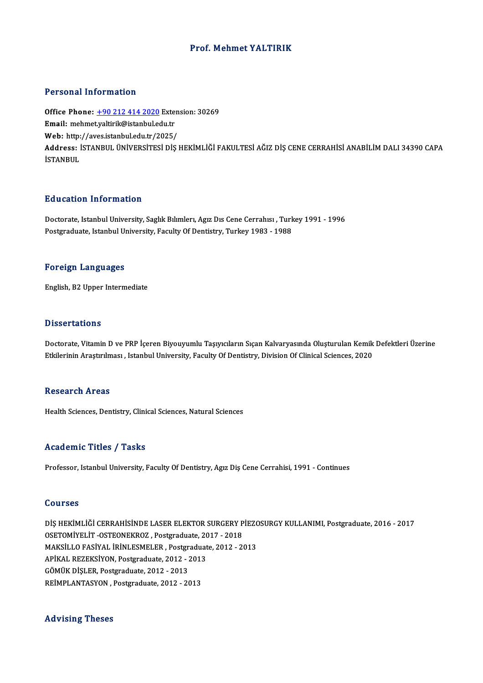### Prof.Mehmet YALTIRIK

### Personal Information

Personal Information<br>Office Phone: <u>+90 212 414 2020</u> Extension: 30269<br>Email: mehmet valtirik@istanbul.edu.tr Procedula Information<br>Office Phone: <u>+90 212 414 2020</u> Exter<br>Email: mehme[t.yaltirik@istanbul.ed](tel:+90 212 414 2020)u.tr Office Phone: <u>+90 212 414 2020</u> Exten<br>Email: mehmet.yaltirik@istanbul.edu.tr<br>Web: http://aves.istanbul.edu.tr/2025/<br>Address. ISTANPUL ÜNİVERSİTESİ DİS Email: mehmet,yaltirik@istanbul.edu.tr<br>Web: http://aves.istanbul.edu.tr/2025/<br>Address: İSTANBUL ÜNİVERSİTESİ DİŞ HEKİMLİĞİ FAKULTESİ AĞIZ DİŞ CENE CERRAHİSİ ANABİLİM DALI 34390 CAPA<br>İSTANPUL Web: http:<br>Address: İ<br>İSTANBUL

### Education Information

Education Information<br>Doctorate, Istanbul University, Saglık Bılımlerı, Agız Dıs Cene Cerrahısı , Turkey 1991 - 1996<br>Postsraduate Istanbul University, Fasulty Of Dentistry, Turkey 1992 - 1999 Pu d'eutren "Infermation"<br>Doctorate, Istanbul University, Saglık Bılımlerı, Agız Dıs Cene Cerrahısı , Turk<br>Postgraduate, Istanbul University, Faculty Of Dentistry, Turkey 1983 - 1988 Postgraduate, Istanbul University, Faculty Of Dentistry, Turkey 1983 - 1988<br>Foreign Languages

English,B2Upper Intermediate

### **Dissertations**

Dissertations<br>Doctorate, Vitamin D ve PRP İçeren Biyouyumlu Taşıyıcıların Sıçan Kalvaryasında Oluşturulan Kemik Defektleri Üzerine<br>Etkilerinin Arastırılması, Jetanbul University, Fasulty Of Dentistry, Division Of Clinisel Bassea taarense<br>Doctorate, Vitamin D ve PRP İçeren Biyouyumlu Taşıyıcıların Sıçan Kalvaryasında Oluşturulan Kemik<br>Etkilerinin Araştırılması , Istanbul University, Faculty Of Dentistry, Division Of Clinical Sciences, 2020 Etkilerinin Araştırılması , Istanbul University, Faculty Of Dentistry, Division Of Clinical Sciences, 2020<br>Research Areas

Health Sciences, Dentistry, Clinical Sciences, Natural Sciences

### Academic Titles / Tasks

Professor, Istanbul University, Faculty Of Dentistry, Agız Diş Cene Cerrahisi, 1991 - Continues

### Courses

DİŞ HEKİMLİĞİ CERRAHİSİNDE LASER ELEKTOR SURGERY PİEZOSURGY KULLANIMI, Postgraduate, 2016 - 2017 OSETOMİYELİT-OSTEONEKROZ ,Postgraduate,2017 -2018 DİŞ HEKİMLİĞİ CERRAHİSİNDE LASER ELEKTOR SURGERY PİEZC<br>OSETOMİYELİT -OSTEONEKROZ , Postgraduate, 2017 - 2018<br>MAKSİLLO FASİYAL İRİNLESMELER , Postgraduate, 2012 - 2013<br>ARİYAL REZEVSİYON Bostgraduate, 2012 - 2013 OSETOMİYELİT -OSTEONEKROZ , Postgraduate, 2012<br>MAKSİLLO FASİYAL İRİNLESMELER , Postgraduat<br>APİKAL REZEKSİYON, Postgraduate, 2012 - 2013<br>CÖMÜY DİSLER Postgraduate, 2012 - 2012 MAKSİLLO FASİYAL İRİNLESMELER , Postgr<br>APİKAL REZEKSİYON, Postgraduate, 2012 - 2<br>GÖMÜK DİŞLER, Postgraduate, 2012 - 2013<br>PEİMPLANTASYON, Postgraduate, 2012 - 20 APİKAL REZEKSİYON, Postgraduate, 2012 - 2013<br>GÖMÜK DİŞLER, Postgraduate, 2012 - 2013<br>REİMPLANTASYON , Postgraduate, 2012 - 2013

### Advising Theses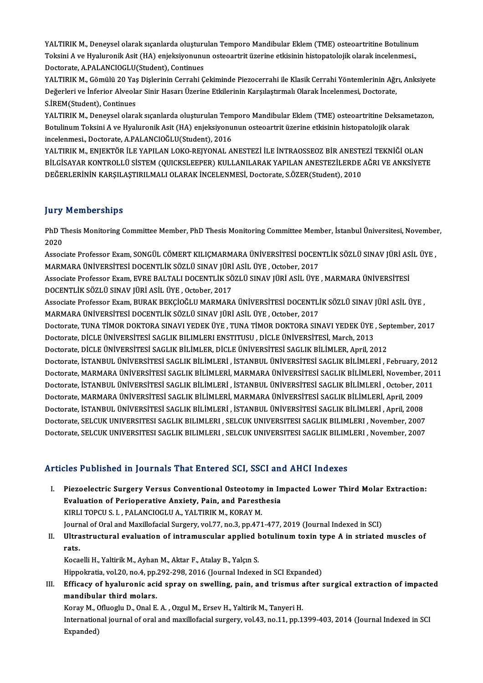YALTIRIK M., Deneysel olarak sıçanlarda oluşturulan Temporo Mandibular Eklem (TME) osteoartritine Botulinum<br>Teksini A.va Hyalurenik Asit (HA) onjaksiyenyenye esteoartrit üzerine etkişinin bistanatelejik alarak inselanmesi YALTIRIK M., Deneysel olarak sıçanlarda oluşturulan Temporo Mandibular Eklem (TME) osteoartritine Botulinum<br>Toksini A ve Hyaluronik Asit (HA) enjeksiyonunun osteoartrit üzerine etkisinin histopatolojik olarak incelenmesi., YALTIRIK M., Deneysel olarak sıçanlarda oluşturı<br>Toksini A ve Hyaluronik Asit (HA) enjeksiyonunu<br>Doctorate, A.PALANCIOGLU(Student), Continues<br>VALTIPIK M. Gömülü 20 Ves Dislarinin Corrabi C Toksini A ve Hyaluronik Asit (HA) enjeksiyonunun osteoartrit üzerine etkisinin histopatolojik olarak incelenmesi.,<br>Doctorate, A.PALANCIOGLU(Student), Continues<br>YALTIRIK M., Gömülü 20 Yaş Dişlerinin Cerrahi Çekiminde Piezoc

Doctorate, A.PALANCIOGLU(Student), Continues<br>YALTIRIK M., Gömülü 20 Yaş Dişlerinin Cerrahi Çekiminde Piezocerrahi ile Klasik Cerrahi Yöntemlerinin Ağr<br>Değerleri ve İnferior Alveolar Sinir Hasarı Üzerine Etkilerinin Karşıla YALTIRIK M., Gömülü 20 Yaş<br>Değerleri ve İnferior Alveola<br>S.İREM(Student), Continues<br>YALTIPIK M. Denevçel olara Değerleri ve İnferior Alveolar Sinir Hasarı Üzerine Etkilerinin Karşılaştırmalı Olarak İncelenmesi, Doctorate,<br>S.İREM(Student), Continues<br>YALTIRIK M., Deneysel olarak sıçanlarda oluşturulan Temporo Mandibular Eklem (TME) o

S.İREM(Student), Continues<br>YALTIRIK M., Deneysel olarak sıçanlarda oluşturulan Temporo Mandibular Eklem (TME) osteoartritine Deksam<br>Botulinum Toksini A ve Hyaluronik Asit (HA) enjeksiyonunun osteoartrit üzerine etkisinin h YALTIRIK M., Deneysel olarak sıçanlarda oluşturulan Tem<br>Botulinum Toksini A ve Hyaluronik Asit (HA) enjeksiyonu<br>incelenmesi., Doctorate, A.PALANCIOĞLU(Student), 2016<br>VALTIRIK M. ENIEKTÖR İLE VARILAN LOKO BEIYONAL A Botulinum Toksini A ve Hyaluronik Asit (HA) enjeksiyonunun osteoartrit üzerine etkisinin histopatolojik olarak<br>incelenmesi., Doctorate, A.PALANCIOĞLU(Student), 2016<br>YALTIRIK M., ENJEKTÖR İLE YAPILAN LOKO-REJYONAL ANESTEZİ

incelenmesi., Doctorate, A.PALANCIOĞLU(Student), 2016<br>YALTIRIK M., ENJEKTÖR İLE YAPILAN LOKO-REJYONAL ANESTEZİ İLE İNTRAOSSEOZ BİR ANESTEZİ TEKNİĞİ OLAN<br>BİLGİSAYAR KONTROLLÜ SİSTEM (QUICKSLEEPER) KULLANILARAK YAPILAN ANEST YALTIRIK M., ENJEKTÖR İLE YAPILAN LOKO-REJYONAL ANESTEZİ İLE İNTRAOSSEOZ BİR ANESTI<br>BİLGİSAYAR KONTROLLÜ SİSTEM (QUICKSLEEPER) KULLANILARAK YAPILAN ANESTEZİLERDE<br>DEĞERLERİNİN KARŞILAŞTIRILMALI OLARAK İNCELENMESİ, Doctorate

### **Jury Memberships**

Jury Memberships<br>PhD Thesis Monitoring Committee Member, PhD Thesis Monitoring Committee Member, İstanbul Üniversitesi, November,<br>2020 pary<br>PhD T<br>2020 PhD Thesis Monitoring Committee Member, PhD Thesis Monitoring Committee Member, İstanbul Üniversitesi, Novembe<br>2020<br>Associate Professor Exam, SONGÜL CÖMERT KILIÇMARMARA ÜNİVERSİTESİ DOCENTLİK SÖZLÜ SINAV JÜRİ ASİL ÜYE ,<br>MA

2020<br>Associate Professor Exam, SONGÜL CÖMERT KILIÇMARMARA ÜNİVERSİTESİ DOCEN<br>MARMARA ÜNİVERSİTESİ DOCENTLİK SÖZLÜ SINAV JÜRİ ASİL ÜYE , October, 2017<br>Associate Professor Eyam, EVPE PALTALL DOCENTLİK SÖZLÜ SINAV JÜRİ ASİL Ü Associate Professor Exam, SONGÜL CÖMERT KILIÇMARMARA ÜNİVERSİTESİ DOCENTLİK SÖZLÜ SINAV JÜRİ AS<br>MARMARA ÜNİVERSİTESİ DOCENTLİK SÖZLÜ SINAV JÜRİ ASİL ÜYE , October, 2017<br>Associate Professor Exam, EVRE BALTALI DOCENTLİK SÖZL

MARMARA ÜNİVERSİTESİ DOCENTLİK SÖZLÜ SINAV JÜRİ ASİL ÜYE , October, 2017<br>Associate Professor Exam, EVRE BALTALI DOCENTLİK SÖZLÜ SINAV JÜRİ ASİL ÜYE , MARMARA ÜNİVERSİTESİ<br>DOCENTLİK SÖZLÜ SINAV JÜRİ ASİL ÜYE , October, 2017 Associate Professor Exam, EVRE BALTALI DOCENTLİK SÖZLÜ SINAV JÜRİ ASİL ÜYE , MARMARA ÜNİVERSİTESİ<br>DOCENTLİK SÖZLÜ SINAV JÜRİ ASİL ÜYE , October, 2017<br>Associate Professor Exam, BURAK BEKÇİOĞLU MARMARA ÜNİVERSİTESİ DOCENTLİK

DOCENTLİK SÖZLÜ SINAV JÜRİ ASİL ÜYE , October, 2017<br>Associate Professor Exam, BURAK BEKÇİOĞLU MARMARA ÜNİVERSİTESİ DOCENTLİ<br>MARMARA ÜNİVERSİTESİ DOCENTLİK SÖZLÜ SINAV JÜRİ ASİL ÜYE , October, 2017<br>Doctorate TUNA TİMOR DOKT Associate Professor Exam, BURAK BEKÇİOĞLU MARMARA ÜNİVERSİTESİ DOCENTLİK SÖZLÜ SINAV JÜRİ ASİL ÜYE ,<br>MARMARA ÜNİVERSİTESİ DOCENTLİK SÖZLÜ SINAV JÜRİ ASİL ÜYE , October, 2017<br>Doctorate, TUNA TİMOR DOKTORA SINAVI YEDEK ÜYE ,

MARMARA ÜNİVERSİTESİ DOCENTLİK SÖZLÜ SINAV JÜRİ ASİL ÜYE , October, 2017<br>Doctorate, TUNA TİMOR DOKTORA SINAVI YEDEK ÜYE , TUNA TİMOR DOKTORA SINAVI YEDEK ÜYE , September, 2017<br>Doctorate, DİCLE ÜNİVERSİTESİ SAGLIK BILIMLERI

Doctorate, DİCLE ÜNİVERSİTESİ SAGLIK BİLİMLER, DİCLE ÜNİVERSİTESİ SAGLIK BİLİMLER, April, 2012 Doctorate, DİCLE ÜNİVERSİTESİ SAGLIK BILIMLERI ENSTITUSU , DİCLE ÜNİVERSİTESİ, March, 2013<br>Doctorate, DİCLE ÜNİVERSİTESİ SAGLIK BİLİMLER, DİCLE ÜNİVERSİTESİ SAGLIK BİLİMLER, April, 2012<br>Doctorate, İSTANBUL ÜNİVERSİTESİ SAG Doctorate, DİCLE ÜNİVERSİTESİ SAGLIK BİLİMLER, DİCLE ÜNİVERSİTESİ SAGLIK BİLİMLER, April, 2012<br>Doctorate, İSTANBUL ÜNİVERSİTESİ SAGLIK BİLİMLERİ, İSTANBUL ÜNİVERSİTESİ SAGLIK BİLİMLERİ, February, 2012<br>Doctorate, MARMARA ÜN Doctorate, İSTANBUL ÜNİVERSİTESİ SAGLIK BİLİMLERİ , İSTANBUL ÜNİVERSİTESİ SAGLIK BİLİMLERİ , February, 2012<br>Doctorate, MARMARA ÜNİVERSİTESİ SAGLIK BİLİMLERİ, MARMARA ÜNİVERSİTESİ SAGLIK BİLİMLERİ, November, 201<br>Doctorate, Doctorate, MARMARA ÜNİVERSİTESİ SAGLIK BİLİMLERİ, MARMARA ÜNİVERSİTESİ SAGLIK BİLİMLERİ, November, :<br>Doctorate, İSTANBUL ÜNİVERSİTESİ SAGLIK BİLİMLERİ, İSTANBUL ÜNİVERSİTESİ SAGLIK BİLİMLERİ , October, 201<br>Doctorate, MARMA Doctorate, İSTANBUL ÜNİVERSİTESİ SAGLIK BİLİMLERİ , İSTANBUL ÜNİVERSİTESİ SAGLIK BİLİMLERİ , October, 20<br>Doctorate, MARMARA ÜNİVERSİTESİ SAGLIK BİLİMLERİ, MARMARA ÜNİVERSİTESİ SAGLIK BİLİMLERİ, April, 2009<br>Doctorate, İSTAN Doctorate, MARMARA ÜNİVERSİTESI SAGLIK BİLİMLERİ, MARMARA ÜNİVERSİTESI SAGLIK BİLİMLERİ, April, 2009<br>Doctorate, İSTANBUL ÜNİVERSİTESI SAGLIK BİLİMLERİ , İSTANBUL ÜNİVERSİTESI SAGLIK BİLİMLERİ , April, 2008<br>Doctorate, SELCU Doctorate, İSTANBUL ÜNİVERSİTESİ SAGLIK BİLİMLERİ , İSTANBUL ÜNİVERSİTESİ SAGLIK BİLİMLERİ , April, 2008<br>Doctorate, SELCUK UNIVERSITESI SAGLIK BILIMLERI , SELCUK UNIVERSITESI SAGLIK BILIMLERI , November, 2007<br>Doctorate, SE Doctorate, SELCUK UNIVERSITESI SAGLIK BILIMLERI , SELCUK UNIVERSITESI SAGLIK BILIMLERI , November, 2007<br>Articles Published in Journals That Entered SCI, SSCI and AHCI Indexes

- I. Piezoelectric Surgery Versus Conventional Osteotomy in Impacted Lower Third Molar Extraction: Evaluation of Perioperative Anxiety, Pain, and Paresthesia<br>Evaluation of Perioperative Anxiety, Pain, and Paresthesia<br>EVIPLETOPCUS L. PALANCIOCULA, VALTIPLE M. FORAV M Piezoelectric Surgery Versus Conventional Osteotomy<br>Evaluation of Perioperative Anxiety, Pain, and Parestl<br>KIRLI TOPCU S. I. , PALANCIOGLU A., YALTIRIK M., KORAY M.<br>Journal of Orel and Mavillafacial Surgery, vol.77, no.2, KIRLI TOPCU S. I. , PALANCIOGLU A., YALTIRIK M., KORAY M.<br>Journal of Oral and Maxillofacial Surgery, vol.77, no.3, pp.471-477, 2019 (Journal Indexed in SCI) KIRLI TOPCU S. I. , PALANCIOGLU A., YALTIRIK M., KORAY M.<br>Journal of Oral and Maxillofacial Surgery, vol.77, no.3, pp.471-477, 2019 (Journal Indexed in SCI)<br>II. Ultrastructural evaluation of intramuscular applied botulinum
- Journ<br>Ultra<br>rats. Ultrastructural evaluation of intramuscular applied l<br>rats.<br>Kocaelli H., Yaltirik M., Ayhan M., Aktar F., Atalay B., Yalçın S.<br>Hinnelmatia vel 20 no 4 nn 202 208 2016 (Journal Indeve rats.<br>Kocaelli H., Yaltirik M., Ayhan M., Aktar F., Atalay B., Yalçın S.<br>Hippokratia, vol.20, no.4, pp.292-298, 2016 (Journal Indexed in SCI Expanded)<br>Efficesu of byolunonis esid sprav on swelling, poin, and trismus ofter

Kocaelli H., Yaltirik M., Ayhan M., Aktar F., Atalay B., Yalçın S.<br>Hippokratia, vol.20, no.4, pp.292-298, 2016 (Journal Indexed in SCI Expanded)<br>III. Efficacy of hyaluronic acid spray on swelling, pain, and trismus after s Hippokratia, vol.20, no.4, pp.<br>Efficacy of hyaluronic aci<br>mandibular third molars.<br>Karay M. Ofiyagh: D. Onal E Efficacy of hyaluronic acid spray on swelling, pain, and trismus a<br>mandibular third molars.<br>Koray M., Ofluoglu D., Onal E. A. , Ozgul M., Ersev H., Yaltirik M., Tanyeri H.<br>International journal of eral and movillefesial su

Koray M., Ofluoglu D., Onal E. A., Ozgul M., Ersev H., Yaltirik M., Tanyeri H.

mandibular third molars.<br>Koray M., Ofluoglu D., Onal E. A. , Ozgul M., Ersev H., Yaltirik M., Tanyeri H.<br>International journal of oral and maxillofacial surgery, vol.43, no.11, pp.1399-403, 2014 (Journal Indexed in SCI<br>Exp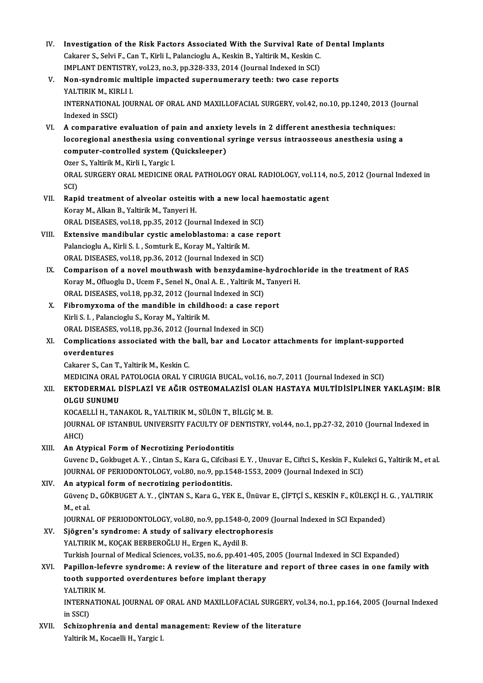- IV. Investigation of the Risk Factors Associated With the Survival Rate of Dental Implants<br>Coloner S. Solvi E. Can T. Virli J. Pelangiagly A. Kookin B. Veltivit M. Kookin C. Investigation of the Risk Factors Associated With the Survival Rate of<br>Cakarer S., Selvi F., Can T., Kirli I., Palancioglu A., Keskin B., Yaltirik M., Keskin C.<br>IMBLANT DENTISTRY vol 22, no 2, nn 229, 222, 2014 (Journal In Investigation of the Risk Factors Associated With the Survival Rate of<br>Cakarer S., Selvi F., Can T., Kirli I., Palancioglu A., Keskin B., Yaltirik M., Keskin C.<br>IMPLANT DENTISTRY, vol.23, no.3, pp.328-333, 2014 (Journal In Cakarer S., Selvi F., Can T., Kirli I., Palancioglu A., Keskin B., Yaltirik M., Keskin C.<br>IMPLANT DENTISTRY, vol.23, no.3, pp.328-333, 2014 (Journal Indexed in SCI)<br>V. Non-syndromic multiple impacted supernumerary teeth: t IMPLANT DENTISTRY<br>Non-syndromic mu<br>YALTIRIK M., KIRLI I.<br>INTERNATIONAL JOU Non-syndromic multiple impacted supernumerary teeth: two case reports<br>YALTIRIK M., KIRLI I.<br>INTERNATIONAL JOURNAL OF ORAL AND MAXILLOFACIAL SURGERY, vol.42, no.10, pp.1240, 2013 (Journal<br>Indoved in SSCD YALTIRIK M., KIR<br>INTERNATIONAL<br>Indexed in SSCI) INTERNATIONAL JOURNAL OF ORAL AND MAXILLOFACIAL SURGERY, vol.42, no.10, pp.1240, 2013 (J<br>Indexed in SSCI)<br>VI. A comparative evaluation of pain and anxiety levels in 2 different anesthesia techniques:<br>logarogianal anosthesi Indexed in SSCI)<br>VI. A comparative evaluation of pain and anxiety levels in 2 different anesthesia techniques:<br>locoregional anesthesia using conventional syringe versus intraosseous anesthesia using a A comparative evaluation of pain and anxiet<br>locoregional anesthesia using conventional<br>computer-controlled system (Quicksleeper)<br>Ozer S. Valtivil: M. Kirli J. Vargio J. **locoregional anesthesia using<br>computer-controlled system (**<br>Ozer S., Yaltirik M., Kirli I., Yargic I.<br>OPAL SUPCEPY OPAL MEDICINE ( ORAL SURGERY ORAL MEDICINE ORAL PATHOLOGY ORAL RADIOLOGY, vol.114, no.5, 2012 (Journal Indexed in SCI) Ozer S., Yaltirik M., Kirli I., Yargic I. ORAL SURGERY ORAL MEDICINE ORAL PATHOLOGY ORAL RADIOLOGY, vol.114, i<br>SCI)<br>VII. Rapid treatment of alveolar osteitis with a new local haemostatic agent<br>Konay M. Alkan B. Valtinik M. Tonyoni H. SCI)<br><mark>Rapid treatment of alveolar osteitis</mark><br>Koray M., Alkan B., Yaltirik M., Tanyeri H.<br>ORAJ, DISEASES vol 19, pp.25, 2012 (Jou Rapid treatment of alveolar osteitis with a new local h<br>Koray M., Alkan B., Yaltirik M., Tanyeri H.<br>ORAL DISEASES, vol.18, pp.35, 2012 (Journal Indexed in SCI)<br>Extensive mandibular systic amelables tames a sees not Koray M., Alkan B., Yaltirik M., Tanyeri H.<br>ORAL DISEASES, vol.18, pp.35, 2012 (Journal Indexed in SCI)<br>VIII. Extensive mandibular cystic ameloblastoma: a case report<br>Palancioglu A., Kirli S. I. , Somturk E., Koray M., Yal ORAL DISEASES, vol.18, pp.35, 2012 (Journal Indexed in SCI) ORAL DISEASES, vol.18, pp.36, 2012 (Journal Indexed in SCI) Palancioglu A., Kirli S. I. , Somturk E., Koray M., Yaltirik M.<br>ORAL DISEASES, vol.18, pp.36, 2012 (Journal Indexed in SCI)<br>IX. Comparison of a novel mouthwash with benzydamine-hydrochloride in the treatment of RAS<br>Konsy M ORAL DISEASES, vol.18, pp.36, 2012 (Journal Indexed in SCI)<br>Comparison of a novel mouthwash with benzydamine-hydrochlo<br>Koray M., Ofluoglu D., Ucem F., Senel N., Onal A. E. , Yaltirik M., Tanyeri H.<br>ORAL DISEASES, vol.19, p Comparison of a novel mouthwash with benzydamine-<br>Koray M., Ofluoglu D., Ucem F., Senel N., Onal A. E. , Yaltirik M.,<br>ORAL DISEASES, vol.18, pp.32, 2012 (Journal Indexed in SCI)<br>Fibromusoma of the mandible in shildhood: a Koray M., Ofluoglu D., Ucem F., Senel N., Onal A. E., Yaltirik M., Tany<br>ORAL DISEASES, vol.18, pp.32, 2012 (Journal Indexed in SCI)<br>X. Fibromyxoma of the mandible in childhood: a case report<br>Kirli S. J. Palanciaglu S. Kora ORAL DISEASES, vol.18, pp.32, 2012 (Journal Indexed in SCI)<br>Fibromyxoma of the mandible in childhood: a case rep<br>Kirli S. I. , Palancioglu S., Koray M., Yaltirik M. Fibromyxoma of the mandible in childhood: a case rep<br>Kirli S. I. , Palancioglu S., Koray M., Yaltirik M.<br>ORAL DISEASES, vol.18, pp.36, 2012 (Journal Indexed in SCI)<br>Complications associated with the ball, har and Lossta Kirli S. I. , Palancioglu S., Koray M., Yaltirik M.<br>ORAL DISEASES, vol.18, pp.36, 2012 (Journal Indexed in SCI)<br>XI. Complications associated with the ball, bar and Locator attachments for implant-supported<br>avandantures ORAL DISEASES, vol.18, pp.36, 2012 (Journal Indexed in SCI)<br>Complications associated with the ball, bar and Locate<br>overdentures<br>Cakarer S., Can T., Yaltirik M., Keskin C. Complications associated with the<br>overdentures<br>Cakarer S., Can T., Yaltirik M., Keskin C.<br>MEDICINA OPAL PATOLOCIA OPAL Y. MEDICINA ORAL PATOLOGIA ORAL Y CIRUGIA BUCAL, vol.16, no.7, 2011 (Journal Indexed in SCI) Cakarer S., Can T., Yaltirik M., Keskin C.<br>MEDICINA ORAL PATOLOGIA ORAL Y CIRUGIA BUCAL, vol.16, no.7, 2011 (Journal Indexed in SCI)<br>XII. EKTODERMAL DİSPLAZİ VE AĞIR OSTEOMALAZİSİ OLAN HASTAYA MULTİDİSİPLİNER YAKLAŞIM: MEDICINA ORAL<br><mark>EKTODERMAL L</mark><br>OLGU SUNUMU<br>KOCAELLU TAN EKTODERMAL DİSPLAZİ VE AĞIR OSTEOMALAZİSİ OLAN<br>OLGU SUNUMU<br>KOCAELLİ H., TANAKOL R., YALTIRIK M., SÜLÜN T., BİLGİÇ M. B.<br>JOUPNAL OE ISTANPUL UNIVERSITY FACULTY OE DENTISTRY 1 OLGU SUNUMU<br>KOCAELLİ H., TANAKOL R., YALTIRIK M., SÜLÜN T., BİLGİÇ M. B.<br>JOURNAL OF ISTANBUL UNIVERSITY FACULTY OF DENTISTRY, vol.44, no.1, pp.27-32, 2010 (Journal Indexed in<br>AHCI) KOCAELLİ H., TANAKOL R., YALTIRIK M., SÜLÜN T., BİLGİÇ M. B.
- XIII. An Atypical Form of Necrotizing Periodontitis

AHCI)<br>**An Atypical Form of Necrotizing Periodontitis**<br>Guvenc D., Gokbuget A. Y. , Cintan S., Kara G., Cifcibasi E. Y. , Unuvar E., Ciftci S., Keskin F., Kulekci G., Yaltirik M., et al.<br>JOUPMAL OF PERIODONTOLOGY, YRL90, De An Atypical Form of Necrotizing Periodontitis<br>Guvenc D., Gokbuget A. Y. , Cintan S., Kara G., Cifcibasi E. Y. , Unuvar E., Ciftci S., Keskin F., Kulo<br>JOURNAL OF PERIODONTOLOGY, vol.80, no.9, pp.1548-1553, 2009 (Journal Ind Guvenc D., Gokbuget A. Y., Cintan S., Kara G., Cifciba<br>JOURNAL OF PERIODONTOLOGY, vol.80, no.9, pp.15<br>XIV. An atypical form of necrotizing periodontitis.<br>Civrone D. COVPUCET A. Y. CINTAN S. Kara C. YER

JOURNAL OF PERIODONTOLOGY, vol.80, no.9, pp.1548-1553, 2009 (Journal Indexed in SCI)<br><mark>An atypical form of necrotizing periodontitis.</mark><br>Güvenç D., GÖKBUGET A. Y. , ÇİNTAN S., Kara G., YEK E., Ünüvar E., ÇİFTÇİ S., KESKİN F., An atyp<br>Güvenç<br>M., et al.<br>IOUPNA Güvenç D., GÖKBUGET A. Y. , ÇİNTAN S., Kara G., YEK E., Ünüvar E., ÇİFTÇİ S., KESKİN F., KÜLEKÇİ H.<br>M., et al.<br>JOURNAL OF PERIODONTOLOGY, vol.80, no.9, pp.1548-0, 2009 (Journal Indexed in SCI Expanded)<br>Siğaren's sundromo:

JOURNAL OF PERIODONTOLOGY, vol.80, no.9, pp.1548-0, 2009 (Journal Indexed in SCI Expanded)

M., et al.<br>JOURNAL OF PERIODONTOLOGY, vol.80, no.9, pp.1548-0, 2009 (<br>XV. Sjögren's syndrome: A study of salivary electrophoresis<br>YALTIRIK M., KOÇAK BERBEROĞLU H., Ergen K., Aydil B. Sjögren's syndrome: A study of salivary electrophoresis<br>YALTIRIK M., KOÇAK BERBEROĞLU H., Ergen K., Aydil B.<br>Turkish Journal of Medical Sciences, vol.35, no.6, pp.401-405, 2005 (Journal Indexed in SCI Expanded)<br>Panillon Ja YALTIRIK M., KOÇAK BERBEROĞLU H., Ergen K., Aydil B.<br>Turkish Journal of Medical Sciences, vol.35, no.6, pp.401-405, 2005 (Journal Indexed in SCI Expanded)<br>XVI. Papillon-lefevre syndrome: A review of the literature and repo

# Turkish Journal of Medical Sciences, vol.35, no.6, pp.401-405, 2<br>Papillon-lefevre syndrome: A review of the literature a<br>tooth supported overdentures before implant therapy<br>VALTIBLY M Papillon-lef<br>tooth suppe<br>YALTIRIK M.<br>INTERNATIO tooth supported overdentures before implant therapy<br>YALTIRIK M.<br>INTERNATIONAL JOURNAL OF ORAL AND MAXILLOFACIAL SURGERY, vol.34, no.1, pp.164, 2005 (Journal Indexed<br>in SSCD

YALTIRI<br>INTERN.<br>in SSCI)<br>Sebison INTERNATIONAL JOURNAL OF ORAL AND MAXILLOFACIAL SURGERY, vo<br>in SSCI)<br>XVII. Schizophrenia and dental management: Review of the literature<br>Veltinit M. Kosselli H. Vargie I.

in SSCI)<br><mark>Schizophrenia and dental</mark> n<br>Yaltirik M., Kocaelli H., Yargic I.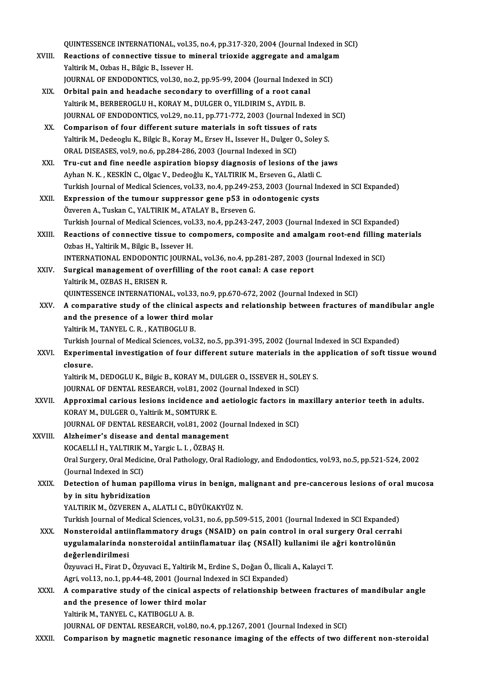QUINTESSENCE INTERNATIONAL, vol.35, no.4, pp.317-320, 2004 (Journal Indexed in SCI)<br>Reastions of connective tieve to mineral triovide essuesses and amelyem

- QUINTESSENCE INTERNATIONAL, vol.35, no.4, pp.317-320, 2004 (Journal Indexed in<br>XVIII. Reactions of connective tissue to mineral trioxide aggregate and amalgam QUINTESSENCE INTERNATIONAL, vol.3!<br>Reactions of connective tissue to m<br>Yaltirik M., Ozbas H., Bilgic B., Issever H.<br>JOUPNAL OF ENDODONTICS, vol.30, no. Reactions of connective tissue to mineral trioxide aggregate and amalgam<br>Yaltirik M., Ozbas H., Bilgic B., Issever H. JOURNAL OF ENDODONTICS, vol.30, no.2, pp.95-99, 2004 (Journal Indexed in SCI)
- XIX. Orbital pain and headache secondary to overfilling of a root canal<br>Yaltirik M., BERBEROGLU H., KORAY M., DULGER O., YILDIRIM S., AYDIL B. Orbital pain and headache secondary to overfilling of a root canal<br>Yaltirik M., BERBEROGLU H., KORAY M., DULGER O., YILDIRIM S., AYDIL B.<br>JOURNAL OF ENDODONTICS, vol.29, no.11, pp.771-772, 2003 (Journal Indexed in SCI)<br>Com Yaltirik M., BERBEROGLU H., KORAY M., DULGER O., YILDIRIM S., AYDIL B.<br>JOURNAL OF ENDODONTICS, vol.29, no.11, pp.771-772, 2003 (Journal Indexerory K.<br>XX. Comparison of four different suture materials in soft tissues of rat
- JOURNAL OF ENDODONTICS, vol.29, no.11, pp.771-772, 2003 (Journal Indexed in<br>Comparison of four different suture materials in soft tissues of rats<br>Yaltirik M., Dedeoglu K., Bilgic B., Koray M., Ersev H., Issever H., Dulger Comparison of four different suture materials in soft tissues of rats<br>Yaltirik M., Dedeoglu K., Bilgic B., Koray M., Ersev H., Issever H., Dulger O., Soley S.<br>ORAL DISEASES, vol.9, no.6, pp.284-286, 2003 (Journal Indexed i Yaltirik M., Dedeoglu K., Bilgic B., Koray M., Ersev H., Issever H., Dulger O., Soley S.<br>ORAL DISEASES, vol.9, no.6, pp.284-286, 2003 (Journal Indexed in SCI)<br>XXI. Tru-cut and fine needle aspiration biopsy diagnosis of les
- ORAL DISEASES, vol.9, no.6, pp.284-286, 2003 (Journal Indexed in SCI)<br>Tru-cut and fine needle aspiration biopsy diagnosis of lesions of the j<br>Ayhan N. K. , KESKİN C., Olgac V., Dedeoğlu K., YALTIRIK M., Erseven G., Alatli Ayhan N. K. , KESKİN C., Olgac V., Dedeoğlu K., YALTIRIK M., Erseven G., Alatli C.<br>Turkish Journal of Medical Sciences, vol.33, no.4, pp.249-253, 2003 (Journal Indexed in SCI Expanded) Ayhan N. K., KESKİN C., Olgac V., Dedeoğlu K., YALTIRIK M., Erseven G., Alatli C.<br>Turkish Journal of Medical Sciences, vol.33, no.4, pp.249-253, 2003 (Journal In<br>XXII. Expression of the tumour suppressor gene p53 in odonto
- Turkish Journal of Medical Sciences, vol.33, no.4, pp.249-2!<br>Expression of the tumour suppressor gene p53 in o<br>Özveren A., Tuskan C., YALTIRIK M., ATALAY B., Erseven G.<br>Turkish Journal of Medical Sciences, vol.33, no.4, np Özveren A., Tuskan C., YALTIRIK M., ATALAY B., Erseven G.<br>Turkish Journal of Medical Sciences, vol.33, no.4, pp.243-247, 2003 (Journal Indexed in SCI Expanded)
- XXIII. Reactions of connective tissue to compomers, composite and amalgam root-end filling materials Ozbas H., Yaltirik M., Bilgic B., Issever H. Reactions of connective tissue to compomers, composite and amalgam root-end filling<br>Ozbas H., Yaltirik M., Bilgic B., Issever H.<br>INTERNATIONAL ENDODONTIC JOURNAL, vol.36, no.4, pp.281-287, 2003 (Journal Indexed in SCI)<br>Sun
- XXIV. Surgical management of overfilling of the root canal: A case report Yaltirik M., OZBAS H., ERISEN R. INTERNATIONAL ENDODONTIC<br>Surgical management of ove<br>Yaltirik M., OZBAS H., ERISEN R.<br>OUINTESSENCE INTERNATIONA QUINTESSENCE INTERNATIONAL, vol.33, no.9, pp.670-672, 2002 (Journal Indexed in SCI)
- Yaltirik M., OZBAS H., ERISEN R.<br>QUINTESSENCE INTERNATIONAL, vol.33, no.9, pp.670-672, 2002 (Journal Indexed in SCI)<br>XXV. A comparative study of the clinical aspects and relationship between fractures of mandibular angle<br>a QUINTESSENCE INTERNATIONAL, vol.33, no.9<br>A comparative study of the clinical aspect<br>and the presence of a lower third molar<br>Valinik M. TANVEL G. B., KATIBOCLU B A comparative study of the clinical<br>and the presence of a lower third m<br>Yaltirik M., TANYEL C. R. , KATIBOGLU B.<br>Turkich Journal of Modical Sciences vol. and the presence of a lower third molar<br>Yaltirik M., TANYEL C. R. , KATIBOGLU B.<br>Turkish Journal of Medical Sciences, vol.32, no.5, pp.391-395, 2002 (Journal Indexed in SCI Expanded)<br>Exporimental investigation of four diff

Yaltirik M., TANYEL C. R. , KATIBOGLU B.<br>Turkish Journal of Medical Sciences, vol.32, no.5, pp.391-395, 2002 (Journal Indexed in SCI Expanded)<br>XXVI. Experimental investigation of four different suture materials in the appl Turkish J<br><mark>Experim</mark><br>closure.<br><sup>Voltirik M</sub></sup> Experimental investigation of four different suture materials in the a<br>closure.<br>Yaltirik M., DEDOGLU K., Bilgic B., KORAY M., DULGER O., ISSEVER H., SOLEY S.<br>JOUPMAL OF DENTAL PESEARCH vol 91, 2002 (Journal Indoved in SCI) closure.<br>Yaltirik M., DEDOGLU K., Bilgic B., KORAY M., DULGER O., ISSEVER H., SOL<br>JOURNAL OF DENTAL RESEARCH, vol.81, 2002 (Journal Indexed in SCI)<br>Annroyimal sarious losions insidense and astiologis festors in r

Yaltirik M., DEDOGLU K., Bilgic B., KORAY M., DULGER O., ISSEVER H., SOLEY S.<br>JOURNAL OF DENTAL RESEARCH, vol.81, 2002 (Journal Indexed in SCI)<br>XXVII. Approximal carious lesions incidence and aetiologic factors in maxi JOURNAL OF DENTAL RESEARCH, vol.81, 2002 (Journal Indexed in SCI)<br>Approximal carious lesions incidence and aetiologic factors in r<br>KORAY M., DULGER O., Yaltirik M., SOMTURK E. Approximal carious lesions incidence and aetiologic factors in n<br>KORAY M., DULGER O., Yaltirik M., SOMTURK E.<br>JOURNAL OF DENTAL RESEARCH, vol.81, 2002 (Journal Indexed in SCI)<br>Altheimer's disease and dental management.

JOURNAL OF DENTAL RESEARCH, vol.81, 2002 (Journal Indexed in SCI)<br>XXVIII. Alzheimer's disease and dental management

- FOURNAL OF DENTAL RESEARCH, vol.81, 2002 (J)<br>Alzheimer's disease and dental managemen<br>KOCAELLİ H., YALTIRIK M., Yargic L. I. , ÖZBAŞ H.<br>Oral Surgary, Oral Medigine, Oral Bathelegy, Oral Oral Surgery, Oral Medicine, Oral Pathology, Oral Radiology, and Endodontics, vol.93, no.5, pp.521-524, 2002<br>(Journal Indexed in SCI) KOCAELLI H., YALTIRIK I<br>Oral Surgery, Oral Medici<br>(Journal Indexed in SCI)<br>Detection of human pe Oral Surgery, Oral Medicine, Oral Pathology, Oral Radiology, and Endodontics, vol.93, no.5, pp.521-524, 2002<br>(Journal Indexed in SCI)<br>XXIX. Detection of human papilloma virus in benign, malignant and pre-cancerous lesions
- (Journal Indexed in SCI)<br>Detection of human pap<br>by in situ hybridization<br>VALTIBIK M. ÖZVEREN A Detection of human papilloma virus in benign, m<br>by in situ hybridization<br>YALTIRIK M., ÖZVEREN A., ALATLI C., BÜYÜKAKYÜZ N.<br>Turkich Journal of Modical Sciences vol 31 no 6 nn 50. by in situ hybridization<br>YALTIRIK M., ÖZVEREN A., ALATLI C., BÜYÜKAKYÜZ N.<br>Turkish Journal of Medical Sciences, vol.31, no.6, pp.509-515, 2001 (Journal Indexed in SCI Expanded)<br>Nonstanaidal antiinflammatary drugs (NSAID) o

YALTIRIK M., ÖZVEREN A., ALATLI C., BÜYÜKAKYÜZ N.<br>Turkish Journal of Medical Sciences, vol.31, no.6, pp.509-515, 2001 (Journal Indexed in SCI Expanded)<br>XXX. Nonsteroidal antiinflammatory drugs (NSAID) on pain control in or Turkish Journal of Medical Sciences, vol.31, no.6, pp.509-515, 2001 (Journal Indexed in SCI Expanded)<br>Nonsteroidal antiinflammatory drugs (NSAID) on pain control in oral surgery Oral cerrah<br>uygulamalarinda nonsteroidal ant Nonsteroidal antii<br>uygulamalarinda<br>deǧerlendirilmesi<br>Öznuvesi H. Finst D. uygulamalarinda nonsteroidal antiinflamatuar ilaç (NSAİİ) kullanimi ile ağri kontrolünün<br>değerlendirilmesi

Özyuvaci H., Firat D., Özyuvaci E., Yaltirik M., Erdine S., Doğan Ö., Ilicali A., Kalayci T.

Özyuvaci H., Firat D., Özyuvaci E., Yaltirik M., Erdine S., Doğan Ö., Ilicali A., Kalayci T.<br>Agri, vol.13, no.1, pp.44-48, 2001 (Journal Indexed in SCI Expanded)<br>XXXI. A comparative study of the cinical aspects of relation Agri, vol.13, no.1, pp.44-48, 2001 (Journal Indexed in SCI Expanded)<br>A comparative study of the cinical aspects of relationship be<br>and the presence of lower third molar<br>Yaltirik M., TANYEL C., KATIBOGLU A. B. A comparative study of the cinical and the presence of lower third mo<br>Yaltirik M., TANYEL C., KATIBOGLU A. B.<br>JOUDNAL OF DENTAL BESEARCH vol 20

JOURNAL OF DENTAL RESEARCH, vol.80, no.4, pp.1267, 2001 (Journal Indexed in SCI)

XXXII. Comparison by magnetic magnetic resonance imaging of the effects of two different non-steroidal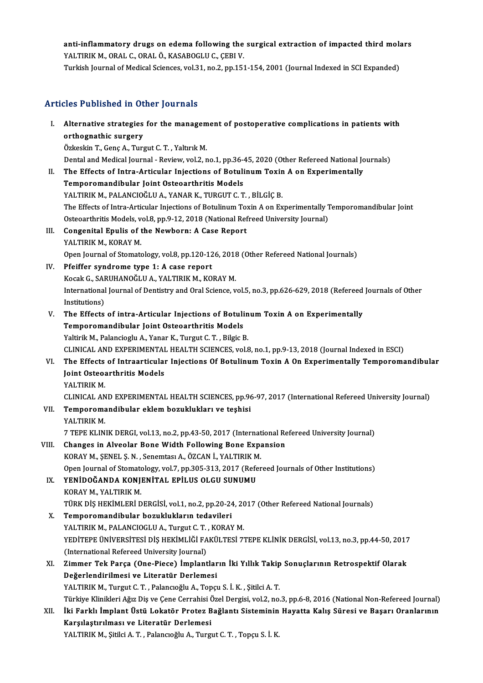anti-inflammatory drugs on edema following the surgical extraction of impacted third molars<br>VALTIRIM ARAL G ORAL Ö, KASAROCLU.G GERLY anti-inflammatory drugs on edema following the<br>YALTIRIK M., ORAL C., ORAL Ö., KASABOGLU C., ÇEBI V.<br>Turkish Journal of Modisal Ssianses vel 31 no 2 nn 153 anti-inflammatory drugs on edema following the surgical extraction of impacted third mola<br>YALTIRIK M., ORAL C., ORAL Ö., KASABOGLU C., ÇEBI V.<br>Turkish Journal of Medical Sciences, vol.31, no.2, pp.151-154, 2001 (Journal In

Turkish Journal of Medical Sciences, vol.31, no.2, pp.151-154, 2001 (Journal Indexed in SCI Expanded)<br>Articles Published in Other Journals

rticles Published in Other Journals<br>I. Alternative strategies for the management of postoperative complications in patients with<br>exthemathic surgery Alternative strategies<br>
orthognathic surgery<br>
<sup>Orkookin</sub> T. Cons.A. Ture</sup> Alternative strategies for the managem<br>orthognathic surgery<br>Özkeskin T., Genç A., Turgut C. T. , Yaltırık M.<br>Dantal and Medical Journal - Boyjou: val 2. r

orthognathic surgery<br>Özkeskin T., Genç A., Turgut C. T. , Yaltırık M.<br>Dental and Medical Journal - Review, vol.2, no.1, pp.36-45, 2020 (Other Refereed National Journals)

Özkeskin T., Genç A., Turgut C. T. , Yaltırık M.<br>Dental and Medical Journal - Review, vol.2, no.1, pp.36-45, 2020 (Other Refereed National Jo<br>II. The Effects of Intra-Articular Injections of Botulinum Toxin A on Experiment Dental and Medical Journal - Review, vol.2, no.1, pp.36-4<br>The Effects of Intra-Articular Injections of Botuli<br>Temporomandibular Joint Osteoarthritis Models<br>VALTIRIK M. RALANCIOČLIJA, VANAR K. TURCUT C. T The Effects of Intra-Articular Injections of Botulinum Toxin<br>Temporomandibular Joint Osteoarthritis Models<br>YALTIRIK M., PALANCIOĞLU A., YANAR K., TURGUT C. T. , BİLGİÇ B.<br>The Effects of Intre Articular Injections of Botuli Temporomandibular Joint Osteoarthritis Models<br>YALTIRIK M., PALANCIOĞLU A., YANAR K., TURGUT C. T. , BİLGİÇ B.<br>The Effects of Intra-Articular Injections of Botulinum Toxin A on Experimentally Temporomandibular Joint<br>Osteoar YALTIRIK M., PALANCIOĞLU A., YANAR K., TURGUT C. T. , BİLGİÇ B.<br>The Effects of Intra-Articular Injections of Botulinum Toxin A on Experimentally 1<br>Osteoarthritis Models, vol.8, pp.9-12, 2018 (National Refreed University Jo

The Effects of Intra-Articular Injections of Botulinum To:<br>Osteoarthritis Models, vol.8, pp.9-12, 2018 (National Ref<br>III. Congenital Epulis of the Newborn: A Case Report<br>VALTIBIK M KORAY M Osteoarthritis Models, v<br>Congenital Epulis of t<br>YALTIRIK M., KORAY M.<br>Open Jeurnal of Stemate YALTIRIK M., KORAY M.<br>Open Journal of Stomatology, vol.8, pp.120-126, 2018 (Other Refereed National Journals)

- IV. Pfeiffer syndrome type 1: A case report Open Journal of Stomatology, vol.8, pp.120-126, 2018<br>Pfeiffer syndrome type 1: A case report<br>Kocak G., SARUHANOĞLU A., YALTIRIK M., KORAY M.<br>International Journal of Dentistry and Oral Science. v International Journal of Dentistry and Oral Science, vol.5, no.3, pp.626-629, 2018 (Refereed Journals of Other<br>Institutions) Kocak G., SAF<br>International<br>Institutions)<br>The Effects International Journal of Dentistry and Oral Science, vol.5, no.3, pp.626-629, 2018 (Refereed<br>Institutions)<br>V. The Effects of intra-Articular Injections of Botulinum Toxin A on Experimentally<br>Temperamentally
- Institutions)<br>The Effects of intra-Articular Injections of Botuli<br>Temporomandibular Joint Osteoarthritis Models<br>Veltivit M. Pelanciecly A. Yoner K. Turgut C. T., Bilgie I Temporomandibular Joint Osteoarthritis Models<br>Yaltirik M., Palancioglu A., Yanar K., Turgut C. T., Bilgic B. Temporomandibular Joint Osteoarthritis Models<br>Yaltirik M., Palancioglu A., Yanar K., Turgut C. T. , Bilgic B.<br>CLINICAL AND EXPERIMENTAL HEALTH SCIENCES, vol.8, no.1, pp.9-13, 2018 (Journal Indexed in ESCI)<br>The Effects of I

Yaltirik M., Palancioglu A., Yanar K., Turgut C. T. , Bilgic B.<br>CLINICAL AND EXPERIMENTAL HEALTH SCIENCES, vol.8, no.1, pp.9-13, 2018 (Journal Indexed in ESCI)<br>VI. The Effects of Intraarticular Injections Of Botulinum Toxi CLINICAL AND EXPERIMENTAI<br>The Effects of Intraarticulai<br>Joint Osteoarthritis Models<br>VALTIBLY M The Effects<br>Joint Osteo:<br>YALTIRIK M.<br>CUNICAL AN Joint Osteoarthritis Models<br>YALTIRIK M.<br>CLINICAL AND EXPERIMENTAL HEALTH SCIENCES, pp.96-97, 2017 (International Refereed University Journal)<br>Temperemendibular eklem bozukluklaruse teebisi

YALTIRIK M.<br>CLINICAL AND EXPERIMENTAL HEALTH SCIENCES, pp.96<br>VII. Temporomandibular eklem bozuklukları ve teşhisi<br>YALTIRIK M. CLINICAL AN<br>Temporoma<br>YALTIRIK M.<br>7 TEPE KLIN

7 TEPE KLINIK DERGI, vol.13, no.2, pp.43-50, 2017 (International Refereed University Journal)

- YALTIRIK M.<br>7 TEPE KLINIK DERGI, vol.13, no.2, pp.43-50, 2017 (International Re<br>VIII. Changes in Alveolar Bone Width Following Bone Expansion<br>VORAY M. SENELS N. Sonomton A. ÖZGAN I, VALTIBIK M. 7 TEPE KLINIK DERGI, vol.13, no.2, pp.43-50, 2017 (Internat<br>Changes in Alveolar Bone Width Following Bone Expa<br>KORAY M., ŞENEL Ş.N. , Senemtası A., ÖZCAN İ., YALTIRIK M.<br>Open Journal of Stematelegy vol.7, np.305-313-2017 ( Changes in Alveolar Bone Width Following Bone Expansion<br>KORAY M., ŞENEL Ş. N. , Senemtası A., ÖZCAN İ., YALTIRIK M.<br>Open Journal of Stomatology, vol.7, pp.305-313, 2017 (Refereed Journals of Other Institutions)<br>YENİDOĞANDA KORAY M., ŞENEL Ş. N., Senemtası A., ÖZCAN İ., YALTIRIK M.<br>Open Journal of Stomatology, vol.7, pp.305-313, 2017 (Refer<br>IX. YENİDOĞANDA KONJENİTAL EPİLUS OLGU SUNUMU<br>KORAY M., YALTIRIK M.
- Open Journal of Stomate<br>YENİDOĞANDA KONJ<br>KORAY M., YALTIRIK M.<br>TÜRK DİS HEKİMI ERİ D YENİDOĞANDA KONJENİTAL EPİLUS OLGU SUNUMU<br>KORAY M., YALTIRIK M.<br>TÜRK DİŞ HEKİMLERİ DERGİSİ, vol.1, no.2, pp.20-24, 2017 (Other Refereed National Journals)<br>Temperemandibular bezuklukların tedevileri KORAY M., YALTIRIK M.<br>TÜRK DİŞ HEKİMLERİ DERGİSİ, vol.1, no.2, pp.20-24<br>X. Temporomandibular bozuklukların tedavileri<br>YALTIBIK M. BALANCIOCLU A. Turgut C.T. KOBAN
- TÜRK DİŞ HEKİMLERİ DERGİSİ, vol.1, no.2, pp.20-24, 20<br>Temporomandibular bozuklukların tedavileri<br>YALTIRIK M., PALANCIOGLU A., Turgut C. T. , KORAY M.<br>VEDİTERE ÜNİVERSİTESİ DİŞ HEKİMI İĞI FAKÜLTESİ 7' X. Temporomandibular bozuklukların tedavileri<br>YALTIRIK M., PALANCIOGLU A., Turgut C. T., KORAY M.<br>YEDİTEPE ÜNİVERSİTESİ DİŞ HEKİMLİĞİ FAKÜLTESİ 7TEPE KLİNİK DERGİSİ, vol.13, no.3, pp.44-50, 2017<br>(International Refereed Uni YALTIRIK M., PALANCIOGLU A., Turgut C. T., KORAY M. YEDİTEPE ÜNİVERSİTESİ DİŞ HEKİMLİĞİ FAKÜLTESİ 7TEPE KLİNİK DERGİSİ, vol.13, no.3, pp.44-50, 2017<br>(International Refereed University Journal)<br>XI. Zimmer Tek Parça (One-Piece) İmplantların İki Yıllık Takip Sonuçlarının Retro
- (International Refereed University Journal)<br>Zimmer Tek Parça (One-Piece) İmplantlar<br>Değerlendirilmesi ve Literatür Derlemesi<br>VALTIRIK M. Turgut C.T., Pelangoğlu A. Tongi Zimmer Tek Parça (One-Piece) İmplantların İki Yıllık Takip<br>Değerlendirilmesi ve Literatür Derlemesi<br>YALTIRIK M., Turgut C.T. , Palancıoğlu A., Topçu S. İ. K. , Şitilci A. T.<br>Türkiye Klinikleri Ağız Diş ve Cane Carrabisi Öz De<mark>ğerlendirilmesi ve Literatür Derlemesi</mark><br>YALTIRIK M., Turgut C. T. , Palancıoğlu A., Topçu S. İ. K. , Şitilci A. T.<br>Türkiye Klinikleri Ağız Diş ve Çene Cerrahisi Özel Dergisi, vol.2, no.3, pp.6-8, 2016 (National Non-Refe

# YALTIRIK M., Turgut C. T. , Palancıoğlu A., Topçu S. İ. K. , Şitilci A. T.<br>Türkiye Klinikleri Ağız Diş ve Çene Cerrahisi Özel Dergisi, vol.2, no.3, pp.6-8, 2016 (National Non-Refereed Journal)<br>XII. İki Farklı İmplant Üstü Türkiye Klinikleri Ağız Diş ve Çene Cerrahisi (<br>İki Farklı İmplant Üstü Lokatör Protez B<br>Karşılaştırılması ve Literatür Derlemesi<br>VALTIRIK M. Sitlei A.T., Rokaneğilu A. Turgı İki Farklı İmplant Üstü Lokatör Protez Bağlantı Sisteminin<br>Karşılaştırılması ve Literatür Derlemesi<br>YALTIRIK M., Şitilci A. T. , Palancıoğlu A., Turgut C. T. , Topçu S. İ. K.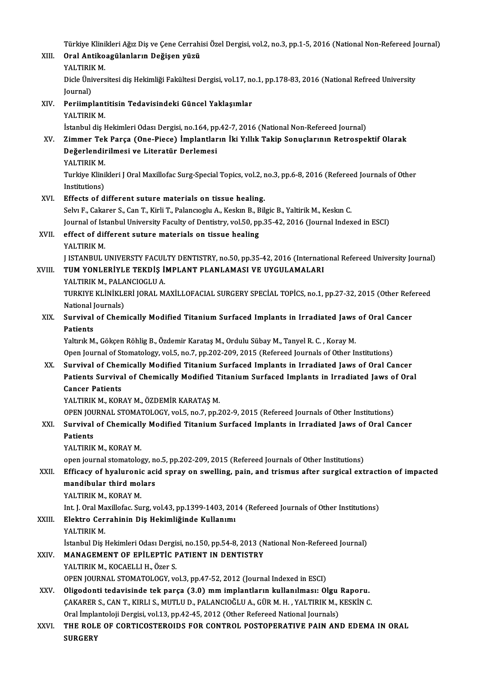Türkiye Klinikleri Ağız Diş ve Çene Cerrahisi Özel Dergisi, vol.2, no.3, pp.1-5, 2016 (National Non-Refereed Journal)<br>Onal Antikoagülanların Değisen yüzü

| XIII.  | Türkiye Klinikleri Ağız Diş ve Çene Cerrahisi Özel Dergisi, vol.2, no.3, pp.1-5, 2016 (National Non-Refereed Journal)<br>Oral Antikoagülanların Değişen yüzü |
|--------|--------------------------------------------------------------------------------------------------------------------------------------------------------------|
|        | YALTIRIK M.                                                                                                                                                  |
|        | Dicle Üniversitesi diş Hekimliği Fakültesi Dergisi, vol.17, no.1, pp.178-83, 2016 (National Refreed University                                               |
|        | Journal)                                                                                                                                                     |
| XIV.   | Periimplantitisin Tedavisindeki Güncel Yaklaşımlar                                                                                                           |
|        | YALTIRIK M.                                                                                                                                                  |
|        | İstanbul diş Hekimleri Odası Dergisi, no.164, pp.42-7, 2016 (National Non-Refereed Journal)                                                                  |
| XV.    | Zimmer Tek Parça (One-Piece) İmplantların İki Yıllık Takip Sonuçlarının Retrospektif Olarak                                                                  |
|        | Değerlendirilmesi ve Literatür Derlemesi                                                                                                                     |
|        | YALTIRIK M.                                                                                                                                                  |
|        | Turkiye Klinikleri J Oral Maxillofac Surg-Special Topics, vol.2, no.3, pp.6-8, 2016 (Refereed Journals of Other                                              |
|        | Institutions)                                                                                                                                                |
| XVI.   | Effects of different suture materials on tissue healing.                                                                                                     |
|        | Selvı F., Cakarer S., Can T., Kirli T., Palancıoglu A., Keskın B., Bilgic B., Yaltirik M., Keskın C.                                                         |
|        | Journal of Istanbul University Faculty of Dentistry, vol.50, pp.35-42, 2016 (Journal Indexed in ESCI)                                                        |
| XVII.  | effect of different suture materials on tissue healing                                                                                                       |
|        | YALTIRIK M.                                                                                                                                                  |
|        | J ISTANBUL UNIVERSTY FACULTY DENTISTRY, no.50, pp.35-42, 2016 (International Refereed University Journal)                                                    |
| XVIII. | TUM YONLERİYLE TEKDİŞ İMPLANT PLANLAMASI VE UYGULAMALARI                                                                                                     |
|        | YALTIRIK M., PALANCIOGLU A.                                                                                                                                  |
|        | TURKIYE KLİNİKLERİ JORAL MAXİLLOFACIAL SURGERY SPECİAL TOPİCS, no.1, pp.27-32, 2015 (Other Refereed                                                          |
|        | National Journals)                                                                                                                                           |
| XIX.   | Survival of Chemically Modified Titanium Surfaced Implants in Irradiated Jaws of Oral Cancer                                                                 |
|        | <b>Patients</b>                                                                                                                                              |
|        | Yaltırık M., Gökçen Röhlig B., Özdemir Karataş M., Ordulu Sübay M., Tanyel R. C., Koray M.                                                                   |
|        | Open Journal of Stomatology, vol.5, no.7, pp.202-209, 2015 (Refereed Journals of Other Institutions)                                                         |
| XX.    | Survival of Chemically Modified Titanium Surfaced Implants in Irradiated Jaws of Oral Cancer                                                                 |
|        | Patients Survival of Chemically Modified Titanium Surfaced Implants in Irradiated Jaws of Oral                                                               |
|        | <b>Cancer Patients</b>                                                                                                                                       |
|        | YALTIRIK M., KORAY M., ÖZDEMİR KARATAŞ M.                                                                                                                    |
|        | OPEN JOURNAL STOMATOLOGY, vol.5, no.7, pp.202-9, 2015 (Refereed Journals of Other Institutions)                                                              |
| XXI.   | Survival of Chemically Modified Titanium Surfaced Implants in Irradiated Jaws of Oral Cancer                                                                 |
|        | Patients                                                                                                                                                     |
|        | YALTIRIK M., KORAY M.                                                                                                                                        |
|        | open journal stomatology, no.5, pp.202-209, 2015 (Refereed Journals of Other Institutions)                                                                   |
| XXII.  | Efficacy of hyaluronic acid spray on swelling, pain, and trismus after surgical extraction of impacted                                                       |
|        | mandibular third molars                                                                                                                                      |
|        | YALTIRIK M., KORAY M.                                                                                                                                        |
|        | Int. J. Oral Maxillofac. Surg, vol.43, pp.1399-1403, 2014 (Refereed Journals of Other Institutions)                                                          |
| XXIII. | Elektro Cerrahinin Diş Hekimliğinde Kullanımı                                                                                                                |
|        | YALTIRIK M                                                                                                                                                   |
|        | İstanbul Diş Hekimleri Odası Dergisi, no.150, pp.54-8, 2013 (National Non-Refereed Journal)                                                                  |
| XXIV   | MANAGEMENT OF EPILEPTIC PATIENT IN DENTISTRY                                                                                                                 |
|        | YALTIRIK M., KOCAELLI H., Özer S.                                                                                                                            |
|        | OPEN JOURNAL STOMATOLOGY, vol.3, pp.47-52, 2012 (Journal Indexed in ESCI)                                                                                    |
| XXV.   | Oligodonti tedavisinde tek parça (3.0) mm implantların kullanılması: Olgu Raporu.                                                                            |
|        | ÇAKARER S., CAN T., KIRLI S., MUTLU D., PALANCIOĞLU A., GÜR M. H. , YALTIRIK M., KESKİN C.                                                                   |
|        | Oral İmplantoloji Dergisi, vol.13, pp.42-45, 2012 (Other Refereed National Journals)                                                                         |
| XXVI.  | THE ROLE OF CORTICOSTEROIDS FOR CONTROL POSTOPERATIVE PAIN AND EDEMA IN ORAL                                                                                 |
|        | <b>SURGERY</b>                                                                                                                                               |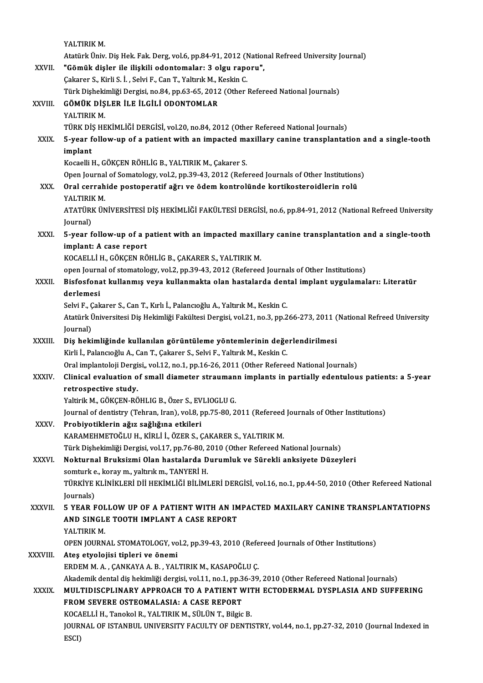YALTIRIK M. AtatürkÜniv.DişHek.Fak.Derg,vol.6,pp.84-91,2012 (NationalRefreedUniversity Journal) YALTIRIK M.<br>Atatürk Üniv. Diş Hek. Fak. Derg, vol.6, pp.84-91, 2012 (National<br>XXVII. "Gömük dişler ile ilişkili odontomalar: 3 olgu raporu",<br>Colsanar S. Kirli S. İ. Selvi E. Can T. Valtark M. Keskin C. Atatürk Üniv. Diş Hek. Fak. Derg, vol.6, pp.84-91, 2012 (!<br>**"Gömük dişler ile ilişkili odontomalar: 3 olgu rap**o<br>Çakarer S., Kirli S. İ. , Selvi F., Can T., Yaltırık M., Keskin C.<br>Türk Disheltimliği Dergisi, ne 84, np.63,6 "Gömük dişler ile ilişkili odontomalar: 3 olgu raporu",<br>Çakarer S., Kirli S. İ. , Selvi F., Can T., Yaltırık M., Keskin C.<br>Türk Dişhekimliği Dergisi, no.84, pp.63-65, 2012 (Other Refereed National Journals)<br>ÇÖMÜK DİSLER İL Çakarer S., Kirli S. İ. , Selvi F., Can T., Yaltırık M., Keskin C.<br>Türk Dişhekimliği Dergisi, no.84, pp.63-65, 2012 (Other l<br>XXVIII. **GÖMÜK DİŞLER İLE İLGİLİ ODONTOMLAR**<br>YALTIRIK M. Türk Dişheki<br><mark>GÖMÜK DİŞ</mark><br>YALTIRIK M.<br>TÜPK DİS HE TÜRK DİŞ HEKİMLİĞİ DERGİSİ, vol.20, no.84, 2012 (Other Refereed National Journals) YALTIRIK M.<br>TÜRK DİŞ HEKİMLİĞİ DERGİSİ, vol.20, no.84, 2012 (Other Refereed National Journals)<br>XXIX. 5-year follow-up of a patient with an impacted maxillary canine transplantation and a single-tooth<br>implant TÜRK Dİ:<br>5-year f<br>implant<br><sup>Kocaalli l</sup> 5-year follow-up of a patient with an impacted mail.<br>Implant<br>Kocaelli H., GÖKÇEN RÖHLİG B., YALTIRIK M., Çakarer S.<br>Open Journal of Somatology, yol 3, np 39, 42, 2012 (Refe i<mark>mplant</mark><br>Kocaelli H., GÖKÇEN RÖHLİG B., YALTIRIK M., Çakarer S.<br>Open Journal of Somatology, vol.2, pp.39-43, 2012 (Refereed Journals of Other Institutions)<br>Onal serrabide pesteperatif eğru ve ödem kantrolünde kartikestere Kocaelli H., GÖKÇEN RÖHLİG B., YALTIRIK M., Çakarer S.<br>Open Journal of Somatology, vol.2, pp.39-43, 2012 (Refereed Journals of Other Institutions<br>XXX. Oral cerrahide postoperatif ağrı ve ödem kontrolünde kortikosteroid Oral cerrahide postoperatif ağrı ve ödem kontrolünde kortikosteroidlerin rolü YALTIRIKM. Oral cerrahide postoperatif ağrı ve ödem kontrolünde kortikosteroidlerin rolü<br>YALTIRIK M.<br>ATATÜRK ÜNİVERSİTESİ DİŞ HEKİMLİĞİ FAKÜLTESİ DERGİSİ, no.6, pp.84-91, 2012 (National Refreed University<br>Journal) YALTIRII<br>ATATÜRI<br>Journal)<br>5 year f ATATÜRK ÜNIVERSITESI DIŞ HEKIMLIĞI FAKÜLTESI DERGISI, no.6, pp.84-91, 2012 (National Refreed University<br>Journal)<br>XXXI. 5-year follow-up of a patient with an impacted maxillary canine transplantation and a single-tooth<br>impl Journal)<br>5-year follow-up of a p<br>implant: A case report<br>KOCAELLLH CÖKCEN PÖ 5-year follow-up of a patient with an impacted maxill<br>implant: A case report<br>KOCAELLİ H., GÖKÇEN RÖHLİG B., ÇAKARER S., YALTIRIK M.<br>enen Jeurnal of stamatalagu val 2, nn 20.42, 2012 (Referees implant: A case report<br>KOCAELLİ H., GÖKÇEN RÖHLİG B., ÇAKARER S., YALTIRIK M.<br>open Journal of stomatology, vol.2, pp.39-43, 2012 (Refereed Journals of Other Institutions)<br>Bisfosfonet kullanmış veya kullanmakta olan bastala KOCAELLİ H., GÖKÇEN RÖHLİG B., ÇAKARER S., YALTIRIK M.<br>open Journal of stomatology, vol.2, pp.39-43, 2012 (Refereed Journals of Other Institutions)<br>XXXII. Bisfosfonat kullanmış veya kullanmakta olan hastalarda dental i open Journ<br><mark>Bisfosfona</mark><br>derlemesi<br>Solvi E. Cak Bisfosfonat kullanmış veya kullanmakta olan hastalarda den:<br>derlemesi<br>Selvi F., Çakarer S., Can T., Kırlı İ., Palancıoğlu A., Yaltırık M., Keskin C.<br>Atatürk Üniversitesi Dis Hekimliği Fekültesi Dersisi, vel 31, no 3, nn 3 **derlemesi**<br>Selvi F., Çakarer S., Can T., Kırlı İ., Palancıoğlu A., Yaltırık M., Keskin C.<br>Atatürk Üniversitesi Diş Hekimliği Fakültesi Dergisi, vol.21, no.3, pp.266-273, 2011 (National Refreed University Selvi F., Ç<br>Atatürk İ<br>Journal)<br>Dis heki Atatürk Üniversitesi Diş Hekimliği Fakültesi Dergisi, vol.21, no.3, pp.266-273, 2011 (<br>Journal)<br>XXXIII. Diş hekimliğinde kullanılan görüntüleme yöntemlerinin değerlendirilmesi<br>Kirli İ. Balancıcğlu A. Can T. Cakarer S. Sakr Journal)<br>Diş hekimliğinde kullanılan görüntüleme yöntemlerinin değerlendirilmesi<br>Kirli İ., Palancıoğlu A., Can T., Çakarer S., Selvi F., Yaltırık M., Keskin C. Oral implantoloji Dergisi,, vol.12, no.1, pp.16-26, 2011 (Other Refereed National Journals) Kirli İ., Palancıoğlu A., Can T., Çakarer S., Selvi F., Yaltırık M., Keskin C.<br>Oral implantoloji Dergisi,, vol.12, no.1, pp.16-26, 2011 (Other Refereed National Journals)<br>XXXIV. Clinical evaluation of small diameter st Oral implantoloji Dergi<br>Clinical evaluation o<br>retrospective study.<br>Veltinik M. GÖVCEN PÖ Clinical evaluation of small diameter strauman<br>retrospective study.<br>Yaltirik M., GÖKÇEN-RÖHLIG B., Özer S., EVLIOGLU G.<br>Journal of dontistry (Tehren Jran), vol 8 nn 75, 80, 2 retrospective study.<br>Yaltirik M., GÖKÇEN-RÖHLIG B., Özer S., EVLIOGLU G.<br>Journal of dentistry (Tehran, Iran), vol.8, pp.75-80, 2011 (Refereed Journals of Other Institutions)<br>Probivetiklerin ağız sağlığına etkileri Yaltirik M., GÖKÇEN-RÖHLIG B., Özer S., EVLIOGLU G.<br>Journal of dentistry (Tehran, Iran), vol.8, pp.75-80, 2011 (Refereed<br>XXXV. Probiyotiklerin ağız sağlığına etkileri<br>KARAMEHMETOĞLU H., KİRLİ İ., ÖZER S., ÇAKARER S., YALTI Journal of dentistry (Tehran, Iran), vol.8, pp.75-80, 2011 (Refereed<br><mark>Probiyotiklerin ağız sağlığına etkileri</mark><br>KARAMEHMETOĞLU H., KİRLİ İ., ÖZER S., ÇAKARER S., YALTIRIK M.<br>Türk Diskeltimliği Dengisi, vol.17, np.76, 80, 20 Probiyotiklerin ağız sağlığına etkileri<br>KARAMEHMETOĞLU H., KİRLİ İ., ÖZER S., ÇAKARER S., YALTIRIK M.<br>Türk Dişhekimliği Dergisi, vol.17, pp.76-80, 2010 (Other Refereed National Journals)<br>Naktunnal Bauksizmi Olan bastalarda KARAMEHMETOĞLU H., KİRLİ İ., ÖZER S., ÇAKARER S., YALTIRIK M.<br>Türk Dişhekimliği Dergisi, vol.17, pp.76-80, 2010 (Other Refereed National Journals)<br>XXXVI. Nokturnal Bruksizmi Olan hastalarda Durumluk ve Sürekli anksiyete Dü Türk Dişhekimliği Dergisi, vol.17, pp.76-80, 2<br><mark>Nokturnal Bruksizmi Olan hastalarda D</mark><br>somturk e., koray m., yaltırık m., TANYERİ H.<br>Tüpkiye ki İNİKI ERİ Dİİ HEKİMI İĞİ PİLİMI Nokturnal Bruksizmi Olan hastalarda Durumluk ve Sürekli anksiyete Düzeyleri<br>somturk e., koray m., yaltırık m., TANYERİ H.<br>TÜRKİYE KLİNİKLERİ Dİİ HEKİMLİĞİ BİLİMLERİ DERGİSİ, vol.16, no.1, pp.44-50, 2010 (Other Refereed Nat Somturk e<br>TÜRKİYE J<br>Journals)<br>E YEAP E TÜRKİYE KLİNİKLERİ Dİİ HEKİMLİĞİ BİLİMLERİ DERGİSİ, vol.16, no.1, pp.44-50, 2010 (Other Refereed National<br>Journals)<br>XXXVII. 5 YEAR FOLLOW UP OF A PATIENT WITH AN IMPACTED MAXILARY CANINE TRANSPLANTATIOPNS Journals)<br>5 YEAR FOLLOW UP OF A PATIENT WITH AN IMPACTED MAXILARY CANINE TRANSPLANTATIOPNS<br>AND SINGLE TOOTH IMPLANT A CASE REPORT<br>YALTIRIK M. AND SINGLE TOOTH IMPLANT A CASE REPORT AND SINGLE TOOTH IMPLANT A CASE REPORT<br>YALTIRIK M.<br>OPEN JOURNAL STOMATOLOGY, vol.2, pp.39-43, 2010 (Refereed Journals of Other Institutions)<br>Ates atyploiisi tiplori ve õnomi XXXVIII. Ateş etyolojisi tipleri ve önemi<br>ERDEM M. A. . CANKAYA A. B. . YALTIRIK M. KASAPOĞLU C. OPEN JOURNAL STOMATOLOGY, vol.2, pp.39-43, 2010 (Refe<br>Ateş etyolojisi tipleri ve önemi<br>ERDEM M. A. , ÇANKAYA A. B. , YALTIRIK M., KASAPOĞLU Ç.<br>Akademik dental dir bekimliği dengisi vel 11 no 1 np.36-39 Akademik dental diş hekimliği dergisi, vol.11, no.1, pp.36-39, 2010 (Other Refereed National Journals) ERDEM M. A. , ÇANKAYA A. B. , YALTIRIK M., KASAPOĞLU Ç.<br>Akademik dental diş hekimliği dergisi, vol.11, no.1, pp.36-39, 2010 (Other Refereed National Journals)<br>XXXIX. MULTIDISCPLINARY APPROACH TO A PATIENT WITH ECTODERM Akademik dental diş hekimliği dergisi, vol.11, no.1, pp.3<br>MULTIDISCPLINARY APPROACH TO A PATIENT W<br>FROM SEVERE OSTEOMALASIA: A CASE REPORT<br>KOCAELLİ H. Tanakal B. VALTIBIK M. SÜLÜN T. Bilgis MULTIDISCPLINARY APPROACH TO A PATIENT WIT<br>FROM SEVERE OSTEOMALASIA: A CASE REPORT<br>KOCAELLİ H., Tanokol R., YALTIRIK M., SÜLÜN T., Bilgic B.<br>JOUPNAL OE ISTANBUL UNIVERSITY FACILITY OF DENTI FROM SEVERE OSTEOMALASIA: A CASE REPORT<br>KOCAELLI H., Tanokol R., YALTIRIK M., SÜLÜN T., Bilgic B.<br>JOURNAL OF ISTANBUL UNIVERSITY FACULTY OF DENTISTRY, vol.44, no.1, pp.27-32, 2010 (Journal Indexed in<br>ESCI) KOCAELLİ H., Tanokol R., YALTIRIK M., SÜLÜN T., Bilgic B.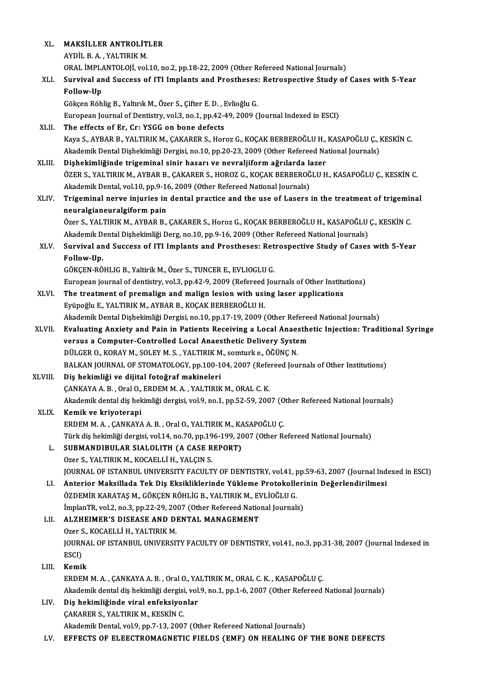| XL.     | MAKSİLLER ANTROLİTLER                                                                                                                 |
|---------|---------------------------------------------------------------------------------------------------------------------------------------|
|         | AYDİL B. A., YALTIRIK M.                                                                                                              |
|         | ORAL İMPLANTOLOJİ, vol.10, no.2, pp.18-22, 2009 (Other Refereed National Journals)                                                    |
| XLI.    | Survival and Success of ITI Implants and Prostheses: Retrospective Study of Cases with 5-Year                                         |
|         | Follow-Up                                                                                                                             |
|         | Gökçen Röhlig B., Yaltırık M., Özer S., Çifter E. D., Evlioğlu G.                                                                     |
|         | European Journal of Dentistry, vol.3, no.1, pp.42-49, 2009 (Journal Indexed in ESCI)                                                  |
| XLII.   | The effects of Er, Cr: YSGG on bone defects                                                                                           |
|         | Kaya S., AYBAR B., YALTIRIK M., ÇAKARER S., Horoz G., KOÇAK BERBEROĞLU H., KASAPOĞLU Ç., KESKİN C.                                    |
|         | Akademik Dental Dişhekimliği Dergisi, no.10, pp.20-23, 2009 (Other Refereed National Journals)                                        |
| XLIII.  | Dişhekimliğinde trigeminal sinir hasarı ve nevraljiform ağrılarda lazer                                                               |
|         | ÖZER S., YALTIRIK M., AYBAR B., ÇAKARER S., HOROZ G., KOÇAK BERBEROĞLU H., KASAPOĞLU Ç., KESKİN C.                                    |
|         | Akademik Dental, vol.10, pp.9-16, 2009 (Other Refereed National Journals)                                                             |
| XLIV.   | Trigeminal nerve injuries in dental practice and the use of Lasers in the treatment of trigeminal                                     |
|         | neuralgianeuralgiform pain                                                                                                            |
|         | Özer S., YALTIRIK M., AYBAR B., ÇAKARER S., Horoz G., KOÇAK BERBEROĞLU H., KASAPOĞLU Ç., KESKİN C.                                    |
|         | Akademik Dental Dişhekimliği Derg, no.10, pp.9-16, 2009 (Other Refereed National Journals)                                            |
| XLV.    | Survival and Success of ITI Implants and Prostheses: Retrospective Study of Cases with 5-Year                                         |
|         | Follow-Up.                                                                                                                            |
|         | GÖKÇEN-RÖHLIG B., Yaltirik M., Özer S., TUNCER E., EVLIOGLU G.                                                                        |
|         | European journal of dentistry, vol.3, pp.42-9, 2009 (Refereed Journals of Other Institutions)                                         |
| XLVI.   | The treatment of premalign and malign lesion with using laser applications                                                            |
|         | Eyüpoğlu E., YALTIRIK M., AYBAR B., KOÇAK BERBEROĞLU H.                                                                               |
|         | Akademik Dental Dişhekimliği Dergisi, no.10, pp.17-19, 2009 (Other Refereed National Journals)                                        |
| XLVII.  | Evaluating Anxiety and Pain in Patients Receiving a Local Anaesthetic Injection: Traditional Syringe                                  |
|         | versus a Computer-Controlled Local Anaesthetic Delivery System<br>DÜLGER O., KORAY M., SOLEY M. S., YALTIRIK M., somturk e., ÖĞÜNC N. |
|         | BALKAN JOURNAL OF STOMATOLOGY, pp.100-104, 2007 (Refereed Journals of Other Institutions)                                             |
| XLVIII. | Dis hekimliği ve dijital fotoğraf makineleri                                                                                          |
|         | CANKAYA A. B., Oral O., ERDEM M. A., YALTIRIK M., ORAL C. K.                                                                          |
|         | Akademik dental diş hekimliği dergisi, vol.9, no.1, pp.52-59, 2007 (Other Refereed National Journals)                                 |
| XLIX.   | Kemik ve kriyoterapi                                                                                                                  |
|         | ERDEM M. A., ÇANKAYA A. B., Oral O., YALTIRIK M., KASAPOĞLU Ç.                                                                        |
|         | Türk diş hekimliği dergisi, vol.14, no.70, pp.196-199, 2007 (Other Refereed National Journals)                                        |
| L.      | SUBMANDIBULAR SIALOLITH (A CASE REPORT)                                                                                               |
|         | Ozer S., YALTIRIK M., KOCAELLİ H., YALÇIN S.                                                                                          |
|         | JOURNAL OF ISTANBUL UNIVERSITY FACULTY OF DENTISTRY, vol.41, pp.59-63, 2007 (Journal Indexed in ESCI)                                 |
| LI.     | Anterior Maksillada Tek Diş Eksikliklerinde Yükleme Protokollerinin Değerlendirilmesi                                                 |
|         | ÖZDEMİR KARATAŞ M., GÖKÇEN RÖHLİG B., YALTIRIK M., EVLİOĞLU G.                                                                        |
|         | İmplanTR, vol.2, no.3, pp.22-29, 2007 (Other Refereed National Journals)                                                              |
| LII.    | ALZHEIMER'S DISEASE AND DENTAL MANAGEMENT                                                                                             |
|         | Ozer S., KOCAELLİ H., YALTIRIK M.                                                                                                     |
|         | JOURNAL OF ISTANBUL UNIVERSITY FACULTY OF DENTISTRY, vol.41, no.3, pp.31-38, 2007 (Journal Indexed in                                 |
|         | ESCI)                                                                                                                                 |
| LIII.   | Kemik                                                                                                                                 |
|         | ERDEM M. A., ÇANKAYA A. B., Oral O., YALTIRIK M., ORAL C. K., KASAPOĞLU Ç.                                                            |
|         | Akademik dental diş hekimliği dergisi, vol.9, no.1, pp.1-6, 2007 (Other Refereed National Journals)                                   |
| LIV.    | Diş hekimliğinde viral enfeksiyonlar                                                                                                  |
|         | ÇAKARER S., YALTIRIK M., KESKİN C.<br>Akademik Dental, vol.9, pp.7-13, 2007 (Other Refereed National Journals)                        |
| LV.     | EFFECTS OF ELEECTROMAGNETIC FIELDS (EMF) ON HEALING OF THE BONE DEFECTS                                                               |
|         |                                                                                                                                       |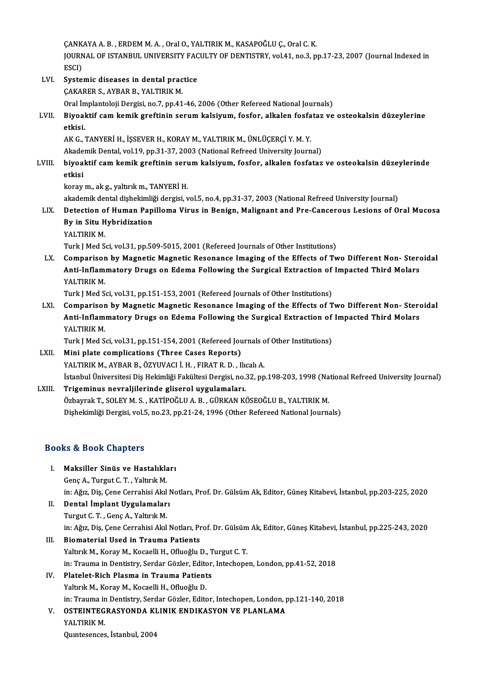ÇANKAYA A. B. , ERDEM M. A. , Oral O., YALTIRIK M., KASAPOĞLU Ç., Oral C. K.<br>JOUPMAL OF ISTANPUL UNIVERSITY FACULTY OF DENTISTRY vol 41 no. 3 n JOURNAL OF ISTANBUL UNIVERSITY FACULTY OF DENTISTRY, vol.41, no.3, pp.17-23, 2007 (Journal Indexed in<br>ESCI) CANK<br>JOURN<br>ESCI)<br>Syste JOURNAL OF ISTANBUL UNIVERSITY FAC<br>ESCI)<br>LVI. Systemic diseases in dental practice<br>CALABER S, AVBAR B, VALTIBLE M

ESCI)<br>Systemic diseases in dental prac<br>ÇAKARER S., AYBAR B., YALTIRIK M.<br>Oral İmplantalaji Dergisi ne 7-nn 41 Systemic diseases in dental practice<br>ÇAKARER S., AYBAR B., YALTIRIK M.<br>Oral İmplantoloji Dergisi, no.7, pp.41-46, 2006 (Other Refereed National Journals)<br>Biyoaktif sam komik graftinin sarum kalsiyum, fasfar, alkalan fasfat CAKARER S., AYBAR B., YALTIRIK M.<br>Oral İmplantoloji Dergisi, no.7, pp.41-46, 2006 (Other Refereed National Journals)<br>LVII. Biyoaktif cam kemik greftinin serum kalsiyum, fosfor, alkalen fosfataz ve osteokalsin düzeyleri Oral İn<br>Biyoal<br>etkisi. Biyoaktif cam kemik greftinin serum kalsiyum, fosfor, alkalen fosfa<br>etkisi.<br>AK G., TANYERİ H., İŞSEVER H., KORAY M., YALTIRIK M., ÜNLÜÇERÇİ Y. M. Y.<br>Akademik Dental vel 19. nn 21.27.2002 (National Befreed University Journ <mark>etkisi.</mark><br>AK G., TANYERİ H., İŞSEVER H., KORAY M., YALTIRIK M., ÜNLÜÇERÇİ Y. M. Y.<br>Akademik Dental, vol.19, pp.31-37, 2003 (National Refreed University Journal)<br>biyoaktif sam komik gnaftinin sanum kalsiyum, fasfar, alkalan AK G., TANYERİ H., İŞSEVER H., KORAY M., YALTIRIK M., ÜNLÜÇERÇİ Y. M. Y.<br>Akademik Dental, vol.19, pp.31-37, 2003 (National Refreed University Journal)<br>LVIII. biyoaktif cam kemik greftinin serum kalsiyum, fosfor, alkale Akade<br><mark>biyoa</mark><br>etkisi biyoaktif cam kemik greftinin ser<mark>ı</mark><br>etkisi<br>koray m., ak g., yaltırık m., TANYERİ H.<br>akademik dentel dishekimliği dengisi y <mark>etkisi</mark><br>koray m., ak g., yaltırık m., TANYERİ H.<br>akademik dental dişhekimliği dergisi, vol.5, no.4, pp.31-37, 2003 (National Refreed University Journal)<br>Detestion of Human Banilloma Vinue in Bonisn, Malisnant and Pre Cans koray m., ak g., yaltırık m., TANYERİ H.<br>akademik dental dişhekimliği dergisi, vol.5, no.4, pp.31-37, 2003 (National Refreed University Journal)<br>LIX. Detection of Human Papilloma Virus in Benign, Malignant and Pre-Canc akademik dental dişhekimliğ<br>Detection of Human Pap<br>By in Situ Hybridization<br>YALTIBIK M Detection o<br>By in Situ H<br>YALTIRIK M.<br>Turk LMed S By in Situ Hybridization<br>YALTIRIK M.<br>Turk J Med Sci, vol.31, pp.509-5015, 2001 (Refereed Journals of Other Institutions) YALTIRIK M.<br>Turk J Med Sci, vol.31, pp.509-5015, 2001 (Refereed Journals of Other Institutions)<br>LX. Comparison by Magnetic Magnetic Resonance Imaging of the Effects of Two Different Non- Steroidal Turk J Med Sci, vol.31, pp.509-5015, 2001 (Refereed Journals of Other Institutions)<br>Comparison by Magnetic Magnetic Resonance Imaging of the Effects of Two Different Non- Stero<br>Anti-Inflammatory Drugs on Edema Following th Comparisor<br>Anti-Inflam<br>YALTIRIK M.<br>Turk I Med S Anti-Inflammatory Drugs on Edema Following the Surgical Extraction of Impacted Third Molars<br>YALTIRIK M.<br>Turk J Med Sci, vol.31, pp.151-153, 2001 (Refereed Journals of Other Institutions) YALTIRIK M.<br>Turk J Med Sci, vol.31, pp.151-153, 2001 (Refereed Journals of Other Institutions)<br>LXI. Comparison by Magnetic Magnetic Resonance Imaging of the Effects of Two Different Non- Steroidal<br>Anti Inflammatery Drugs o Turk J Med Sci, vol.31, pp.151-153, 2001 (Refereed Journals of Other Institutions)<br>Comparison by Magnetic Magnetic Resonance Imaging of the Effects of Two Different Non- Stero<br>Anti-Inflammatory Drugs on Edema Following the Comparisor<br>Anti-Inflam<br>YALTIRIK M.<br>Turk I Med S Anti-Inflammatory Drugs on Edema Following the Surgical Extraction of Impacted Third Molars YALTIRIK M. Turk J Med Sci, vol.31, pp.151-154, 2001 (Refereed Journals of Other Institutions)

LXII. Mini plate complications (Three Cases Reports)<br>YALTIRIK M., AYBAR B., ÖZYUVACI İ. H., FIRAT R. D., Ilıcalı A. Mini plate complications (Three Cases Reports)<br>YALTIRIK M., AYBAR B., ÖZYUVACI İ. H. , FIRAT R. D. , Ilıcalı A.<br>İstanbul Üniversitesi Diş Hekimliği Fakültesi Dergisi, no.32, pp.198-203, 1998 (National Refreed University Jo YALTIRIK M., AYBAR B., ÖZYUVACI İ. H., FIRAT R. D., Ilu<br>İstanbul Üniversitesi Diş Hekimliği Fakültesi Dergisi, no.:<br>LXIII. Trigeminus nevraljilerinde gliserol uygulamaları.<br>Öskeynek T. SOLEV M. S., KATİROČLU A. B., CÜR

İstanbul Üniversitesi Diş Hekimliği Fakültesi Dergisi, no.32, pp.198-203, 1998 (Na<br><mark>Trigeminus nevraljilerinde gliserol uygulamaları.</mark><br>Özbayrak T., SOLEY M. S. , KATİPOĞLU A. B. , GÜRKAN KÖSEOĞLU B., YALTIRIK M.<br>Dishekimli Trigeminus nevraljilerinde gliserol uygulamaları.<br>Özbayrak T., SOLEY M. S. , KATİPOĞLU A. B. , GÜRKAN KÖSEOĞLU B., YALTIRIK M.<br>Dişhekimliği Dergisi, vol.5, no.23, pp.21-24, 1996 (Other Refereed National Journals)

### Books&Book Chapters

- ooks & Book Chapters<br>I. Maksiller Sinüs ve Hastalıkları<br>Cana A. Turgut C.T. Valtuk M E & DOOR GRAPCOTS<br>Maksiller Sinüs ve Hastalıkla<br>Genç A., Turgut C. T. , Yaltırık M. Maksiller Sinüs ve Hastalıkları<br>Genç A., Turgut C. T. , Yaltırık M.<br>in: Ağız, Diş, Çene Cerrahisi Akıl Notları, Prof. Dr. Gülsüm Ak, Editor, Güneş Kitabevi, İstanbul, pp.203-225, 2020<br>Pental İmplant Uygulamaları Genç A., Turgut C. T. , Yaltırık M.<br>in: Ağız, Diş, Çene Cerrahisi Akıl I<br>II. **Dental İmplant Uygulamaları**<br>Turgut C. T. , Genç A., Yaltırık M.
- in: Ağız, Diş, Çene Cerrahisi Akıl<br>**Dental İmplant Uygulamalar**<br>Turgut C. T. , Genç A., Yaltırık M.<br>in: Ağız, Diş, Çenç Cerrebisi Alpl Dental İmplant Uygulamaları<br>Turgut C. T. , Genç A., Yaltırık M.<br>in: Ağız, Diş, Çene Cerrahisi Akıl Notları, Prof. Dr. Gülsüm Ak, Editor, Güneş Kitabevi, İstanbul, pp.225-243, 2020<br>Biomaterial Heed in Traume Betiente
- III. Biomaterial Used in Trauma Patients<br>Yaltırık M., Koray M., Kocaelli H., Ofluoğlu D., Turgut C. T. in: Ağız, Diş, Çene Cerrahisi Akıl Notları, Prof. Dr. Gülsüm<br>Biomaterial Used in Trauma Patients<br>Yaltırık M., Koray M., Kocaelli H., Ofluoğlu D., Turgut C. T.<br>in: Trauma in Dentistry, Serder Görler, Editer, Interbere Biomaterial Used in Trauma Patients<br>Yaltırık M., Koray M., Kocaelli H., Ofluoğlu D., Turgut C. T.<br>in: Trauma in Dentistry, Serdar Gözler, Editor, Intechopen, London, pp.41-52, 2018<br>Platelet Bish Blasma in Trauma Batients
- IV. Platelet-Rich Plasma in Trauma Patients in: Trauma in Dentistry, Serdar Gözler, Edito<br>Platelet-Rich Plasma in Trauma Patient<br>Yaltırık M., Koray M., Kocaelli H., Ofluoğlu D.<br>in: Trauma in Dentistry, Serdan Gözler, Edito Platelet-Rich Plasma in Trauma Patients<br>Yaltırık M., Koray M., Kocaelli H., Ofluoğlu D.<br>in: Trauma in Dentistry, Serdar Gözler, Editor, Intechopen, London, pp.121-140, 2018<br>OSTEINTECRASYONDA KLINIK ENDIKASYON VE PLANLAMA Yaltırık M., Koray M., Kocaelli H., Ofluoğlu D.<br>in: Trauma in Dentistry, Serdar Gözler, Editor, Intechopen, London, p.<br>V. OSTEINTEGRASYONDA KLINIK ENDIKASYON VE PLANLAMA<br>VALTIDIK M.
- V. OSTEINTEGRASYONDA KLINIK ENDIKASYON VE PLANLAMA<br>YALTIRIK M.<br>Quintesences, İstanbul, 2004
- in: Trauma in<br>OSTEINTEG<br>YALTIRIK M.<br>Ountecenses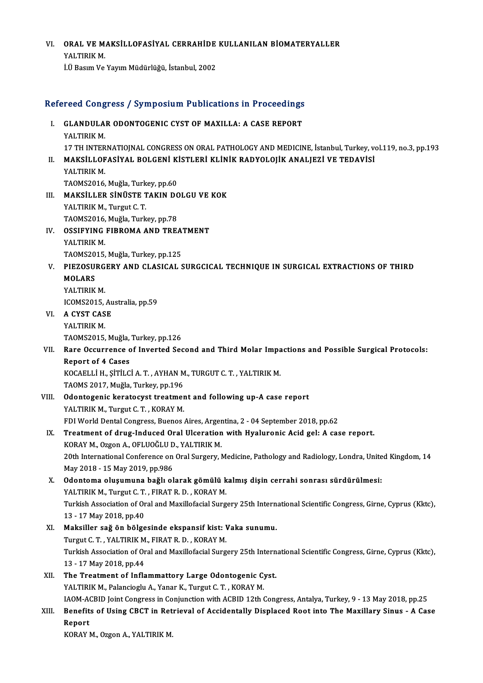### VI. ORAL VE MAKSİLLOFASİYAL CERRAHİDE KULLANILAN BİOMATERYALLER<br>XALTIPIK M **ORAL VE M.<br>YALTIRIK M.<br>UÜ Bosum Vo.** YALTIRIK M.<br>İ.Ü Basım Ve Yayım Müdürlüğü, İstanbul, 2002

# 1.0 Basim ve rayim Muduriugu, istanbul, 2002<br>Refereed Congress / Symposium Publications in Proceedings

|       | Refereed Congress / Symposium Publications in Proceedings                                                                                      |
|-------|------------------------------------------------------------------------------------------------------------------------------------------------|
| L.    | <b>GLANDULAR ODONTOGENIC CYST OF MAXILLA: A CASE REPORT</b><br>YALTIRIK M.                                                                     |
|       | 17 TH INTERNATIOJNAL CONGRESS ON ORAL PATHOLOGY AND MEDICINE, İstanbul, Turkey, vol.119, no.3, pp.193                                          |
| Н.    | MAKSILLOFASIYAL BOLGENI KISTLERI KLINIK RADYOLOJIK ANALJEZI VE TEDAVISI<br>YALTIRIK M                                                          |
|       | TAOMS2016, Muğla, Turkey, pp.60                                                                                                                |
| III.  | MAKSİLLER SİNÜSTE TAKIN DOLGU VE KOK                                                                                                           |
|       | YALTIRIK M., Turgut C. T.                                                                                                                      |
|       | TAOMS2016, Muğla, Turkey, pp.78                                                                                                                |
| IV.   | <b>OSSIFYING FIBROMA AND TREATMENT</b>                                                                                                         |
|       | YALTIRIK M.                                                                                                                                    |
| V.    | TAOMS2015, Muğla, Turkey, pp.125<br>PIEZOSURGERY AND CLASICAL SURGCICAL TECHNIQUE IN SURGICAL EXTRACTIONS OF THIRD                             |
|       | <b>MOLARS</b>                                                                                                                                  |
|       | YALTIRIK M.                                                                                                                                    |
|       | ICOMS2015, Australia, pp.59                                                                                                                    |
| VI.   | A CYST CASE                                                                                                                                    |
|       | YALTIRIK M.                                                                                                                                    |
|       | TAOMS2015, Muğla, Turkey, pp 126                                                                                                               |
| VII.  | Rare Occurrence of Inverted Second and Third Molar Impactions and Possible Surgical Protocols:                                                 |
|       | <b>Report of 4 Cases</b>                                                                                                                       |
|       | KOCAELLI H., ȘITILCI A. T., AYHAN M., TURGUT C. T., YALTIRIK M.                                                                                |
|       | TAOMS 2017, Muğla, Turkey, pp.196                                                                                                              |
| VIII. | Odontogenic keratocyst treatment and following up-A case report<br>YALTIRIK M., Turgut C. T., KORAY M.                                         |
|       | FDI World Dental Congress, Buenos Aires, Argentina, 2 - 04 September 2018, pp.62                                                               |
| IX.   | Treatment of drug-Induced Oral Ulceration with Hyaluronic Acid gel: A case report.                                                             |
|       | KORAY M., Ozgon A., OFLUOĞLU D., YALTIRIK M.                                                                                                   |
|       | 20th International Conference on Oral Surgery, Medicine, Pathology and Radiology, Londra, United Kingdom, 14                                   |
|       | May 2018 - 15 May 2019, pp.986                                                                                                                 |
| Х.    | Odontoma oluşumuna bağlı olarak gömülü kalmış dişin cerrahi sonrası sürdürülmesi:                                                              |
|       | YALTIRIK M., Turgut C. T., FIRAT R. D., KORAY M.                                                                                               |
|       | Turkish Association of Oral and Maxillofacial Surgery 25th International Scientific Congress, Girne, Cyprus (Kktc),                            |
|       | 13 - 17 May 2018, pp 40                                                                                                                        |
| XI.   | Maksiller sağ ön bölgesinde ekspansif kist: Vaka sunumu.                                                                                       |
|       | Turgut C. T., YALTIRIK M., FIRAT R. D., KORAY M.                                                                                               |
|       | Turkish Association of Oral and Maxillofacial Surgery 25th International Scientific Congress, Girne, Cyprus (Kktc),<br>13 - 17 May 2018, pp 44 |
| XII.  | The Treatment of Inflammattory Large Odontogenic Cyst.                                                                                         |
|       | YALTIRIK M., Palancioglu A., Yanar K., Turgut C. T., KORAY M.                                                                                  |
|       | IAOM-ACBID Joint Congress in Conjunction with ACBID 12th Congress, Antalya, Turkey, 9 - 13 May 2018, pp.25                                     |
| XIII. | Benefits of Using CBCT in Retrieval of Accidentally Displaced Root into The Maxillary Sinus - A Case                                           |
|       | Report                                                                                                                                         |
|       | KORAY M., Ozgon A., YALTIRIK M.                                                                                                                |
|       |                                                                                                                                                |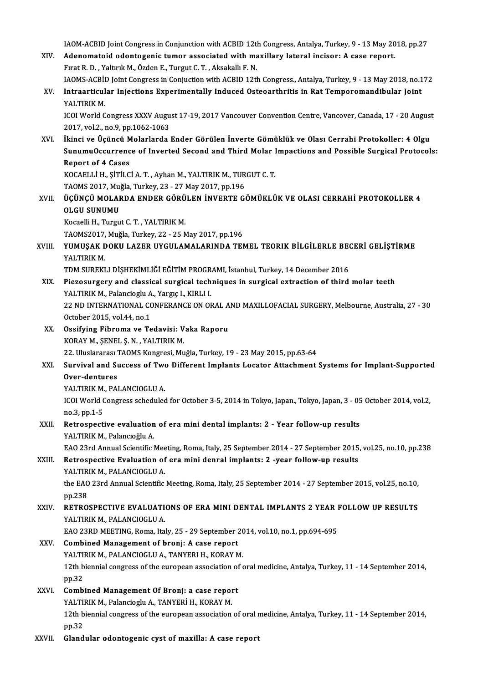IAOM-ACBID Joint Congress in Conjunction with ACBID 12th Congress, Antalya, Turkey, 9 - 13 May 2018, pp.27<br>Adenemateid odentsgenis tumer associated with movillary lateral insisery A sees renert

- IAOM-ACBID Joint Congress in Conjunction with ACBID 12th Congress, Antalya, Turkey, 9 13 May 20<br>XIV. Adenomatoid odontogenic tumor associated with maxillary lateral incisor: A case report. FROM-ACBID Joint Congress in Conjunction with ACBID 12th<br>Adenomatoid odontogenic tumor associated with ma<br>Fırat R. D. , Yaltırık M., Özden E., Turgut C. T. , Aksakallı F. N.<br>LAOMS ACBID Joint Congress in Conjustion with AC Adenomatoid odontogenic tumor associated with maxillary lateral incisor: A case report.<br>Fırat R. D. , Yaltırık M., Özden E., Turgut C. T. , Aksakallı F. N.<br>IAOMS-ACBİD Joint Congress in Conjuction with ACBID 12th Congress.
- Fırat R. D. , Yaltırık M., Özden E., Turgut C. T. , Aksakallı F. N.<br>IAOMS-ACBİD Joint Congress in Conjuction with ACBID 12th Congress., Antalya, Turkey, 9 13 May 2018, no.1<br>XV. Intraarticular Injections Experimentall IAOMS-ACB<mark>il</mark><br>Intraarticul<br>YALTIRIK M.<br>ICOLWorld C Intraarticular Injections Experimentally Induced Osteoarthritis in Rat Temporomandibular Joint<br>YALTIRIK M.<br>ICOI World Congress XXXV August 17-19, 2017 Vancouver Convention Centre, Vancover, Canada, 17 - 20 August<br>2017 vol

YALTIRIK M.<br>ICOI World Congress XXXV Augu<br>2017, vol.2., no.9, pp.1062-1063<br>Ikingi vo Ügüngü Molarlarda

XVI. İkinci ve Üçüncü Molarlarda Ender Görülen İnverte Gömüklük ve Olası Cerrahi Protokol er: 4 Olgu 2017, vol.2., no.9, pp.1062-1063<br>İkinci ve Üçüncü Molarlarda Ender Görülen İnverte Gömüklük ve Olası Cerrahi Protokoller: 4 Olgu<br>SunumuOccurrence of Inverted Second and Third Molar Impactions and Possible Surgical Protocol İkinci ve Üçüncü M<br>SunumuOccurrenc<br>Report of 4 Cases<br>YOCAELLİ H-SİTİLC SunumuOccurrence of Inverted Second and Third Molar I<br>Report of 4 Cases<br>KOCAELLİ H., ŞİTİLCİ A.T. , Ayhan M., YALTIRIK M., TURGUT C.T.<br>TAOMS 2017 Muğla Turkey, 22, 27 Mey 2017, nn 196

Report of 4 Cases<br>KOCAELLİ H., ŞİTİLCİ A. T. , Ayhan M., YALTIRIK M., TURGUT C. T.<br>TAOMS 2017, Muğla, Turkey, 23 - 27 May 2017, pp.196

KOCAELLİ H., ŞİTİLCİ A. T. , Ayhan M., YALTIRIK M., TURGUT C. T.<br>TAOMS 2017, Muğla, Turkey, 23 - 27 May 2017, pp.196<br>XVII. — ÜÇÜNÇÜ MOLARDA ENDER GÖRÜLEN İNVERTE GÖMÜKLÜK VE OLASI CERRAHİ PROTOKOLLER 4<br>OLCU SUNUMU TAOMS 2017, Mu<sub>i</sub><br>ÜÇÜNÇÜ MOLAF<br>OLGU SUNUMU<br><sup>Kocoolli H</sup>a Turgu ÜÇÜNÇÜ MOLARDA ENDER GÖRÜ<br>OLGU SUNUMU<br>Kocaelli H., Turgut C. T. , YALTIRIK M.<br>TAOMS2017 Muğla Turkov 22, 25 M

OLGU SUNUMU<br>Kocaelli H., Turgut C. T. , YALTIRIK M.<br>TAOMS2017, Muğla, Turkey, 22 - 25 May 2017, pp.196<br>YUMUSAK DOKU LAZER UVCULAMALARINDA TEL

## Kocaelli H., Turgut C. T. , YALTIRIK M.<br>TAOMS2017, Muğla, Turkey, 22 - 25 May 2017, pp.196<br>XVIII. YUMUŞAK DOKU LAZER UYGULAMALARINDA TEMEL TEORIK BİLGİLERLE BECERİ GELİŞTİRME<br>YALTIRIK M. TAOMS2017,<br><mark>YUMUŞAK E</mark><br>YALTIRIK M.<br>TDM SUBEKI YUMUŞAK DOKU LAZER UYGULAMALARINDA TEMEL TEORIK BİLGİLERLE BE(<br>YALTIRIK M.<br>TDM SUREKLI DİŞHEKİMLİĞİ EĞİTİM PROGRAMI, İstanbul, Turkey, 14 December 2016<br>Bistosungeny and slassisal sungisal teshnisuse in sungisal sutmetian o

- XIX. Piezosurgery and classical surgical techniques in surgical extraction of third molar teeth<br>YALTIRIK M., Palancioglu A., Yargıç I., KIRLI I. TDM SUREKLI DİŞHEKİMLİĞİ EĞİTİM PROGR<br>Piezosurgery and classical surgical tech<br>YALTIRIK M., Palancioglu A., Yargıç I., KIRLI I.<br>22 ND INTERNATIONAL CONEERANCE ON OL Piezosurgery and classical surgical techniques in surgical extraction of third molar teeth<br>YALTIRIK M., Palancioglu A., Yargıç I., KIRLI I.<br>22 ND INTERNATIONAL CONFERANCE ON ORAL AND MAXILLOFACIAL SURGERY, Melbourne, Austr YALTIRIK M., Palancioglu A<br>22 ND INTERNATIONAL CO<br>October 2015, vol.44, no.1<br>Ocsifying Eibroma vo To 22 ND INTERNATIONAL CONFERANCE ON ORAL A<br>October 2015, vol.44, no.1<br>XX. Ossifying Fibroma ve Tedavisi: Vaka Raporu<br>VORAY M. SENEL S N. VALTIBIK M
- October 2015, vol.44, no.1<br>XX. Ossifying Fibroma ve Tedavisi: Vaka Raporu<br>KORAY M., ŞENEL Ş.N. , YALTIRIK M. Ossifying Fibroma ve Tedavisi: Vaka Raporu<br>KORAY M., ŞENEL Ş. N. , YALTIRIK M.<br>22. Uluslararası TAOMS Kongresi, Muğla, Turkey, 19 - 23 May 2015, pp.63-64<br>Survival and Sussess of Two Different Implents Lesster, Attashment.

# KORAY M., ŞENEL Ş. N. , YALTIRIK M.<br>22. Uluslararası TAOMS Kongresi, Muğla, Turkey, 19 - 23 May 2015, pp.63-64<br>XXI. Survival and Success of Two Different Implants Locator Attachment Systems for Implant-Supported<br>Over d 22. Uluslararası <sup>r</sup><br>Sur<mark>vival and Su</mark><br>Over-dentures<br>VALTIPIK M. PAL Survival and Success of Two<br>Over-dentures<br>YALTIRIK M., PALANCIOGLU A.<br>ICOLWerld Congress schedules

Over-dentures<br>YALTIRIK M., PALANCIOGLU A.<br>ICOI World Congress scheduled for October 3-5, 2014 in Tokyo, Japan., Tokyo, Japan, 3 - 05 October 2014, vol.2, YALTIRIK M.<br>ICOI World (<br>no.3, pp.1-5<br>Patrosposti ICOI World Congress scheduled for October 3-5, 2014 in Tokyo, Japan., Tokyo, Japan., 3 - 05<br>no.3, pp.1-5<br>XXII. Retrospective evaluation of era mini dental implants: 2 - Year follow-up results<br>XAI TIBIK M. Relange du A

# no.3, pp.1-5<br>Retrospective evaluation<br>YALTIRIK M., Palancıoğlu A.<br>EAQ 22rd Annual Scientifia. Retrospective evaluation of era mini dental implants: 2 - Year follow-up results<br>YALTIRIK M., Palancıoğlu A.<br>EAO 23rd Annual Scientific Meeting, Roma, Italy, 25 September 2014 - 27 September 2015, vol.25, no.10, pp.238<br>Pet

# YALTIRIK M., Palancıoğlu A.<br>EAO 23rd Annual Scientific Meeting, Roma, Italy, 25 September 2014 - 27 September 2015<br>XXIII. Retrospective Evaluation of era mini denral implants: 2 -year follow-up results<br>YALTIRIK M.. PAL EAO 23rd Annual Scientific Mee<br>Retrospective Evaluation of<br>YALTIRIK M., PALANCIOGLU A.<br>the EAO 22rd Annual Scientific

Retrospective Evaluation of era mini denral implants: 2 -year follow-up results<br>YALTIRIK M., PALANCIOGLU A.<br>the EAO 23rd Annual Scientific Meeting, Roma, Italy, 25 September 2014 - 27 September 2015, vol.25, no.10,<br>nn <sup>229</sup> **YALTIR**<br>the EAO<br>pp.238<br>**PETPO** the EAO 23rd Annual Scientific Meeting, Roma, Italy, 25 September 2014 - 27 September 2015, vol.25, no.10,<br>pp.238<br>XXIV. RETROSPECTIVE EVALUATIONS OF ERA MINI DENTAL IMPLANTS 2 YEAR FOLLOW UP RESULTS

# pp.238<br>XXIV. RETROSPECTIVE EVALUATIONS OF ERA MINI DENTAL IMPLANTS 2 YEAR FOLLOW UP RESULTS<br>YALTIRIK M., PALANCIOGLU A. RETROSPECTIVE EVALUATIONS OF ERA MINI DENTAL IMPLANTS 2 YEAR I<br>YALTIRIK M., PALANCIOGLU A.<br>EAO 23RD MEETING, Roma, Italy, 25 - 29 September 2014, vol.10, no.1, pp.694-695<br>Combined Management of broni: A case report

### XXV. Combined Management of bronj: A case report EAO 23RD MEETING, Roma, Italy, 25 - 29 September 20<br>Combined Management of bronj: A case report<br>YALTIRIK M., PALANCIOGLU A., TANYERI H., KORAY M.<br>12th bionnial congress of the euronean association of a 12th biennial congress of the european association of oral medicine, Antalya, Turkey, 11 - 14 September 2014, pp.32 YALTIRIK M., PALANCIOGLU A., TANYERI H., KORAY M.

## XXVI. Combined Management Of Bronj: a case report pp.32<br>Combined Management Of Bronj: a case repol<br>YALTIRIK M., Palancioglu A., TANYERİ H., KORAY M.<br>12th bionnial sengyess of the sureneen association

12th biennial congress of the european association of oral medicine, Antalya, Turkey, 11 - 14 September 2014, pp.32 YALTI<br>12th b<br>pp.32<br>Cland

### XXVII. Glandular odontogenic cyst of maxilla: A case report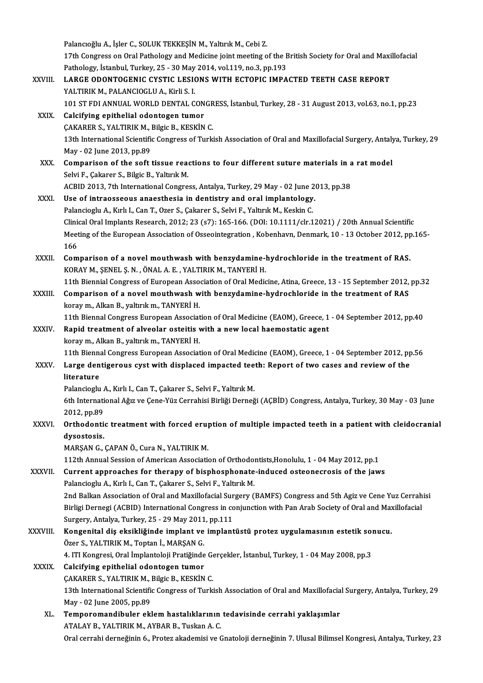|              | Palancıoğlu A., İşler C., SOLUK TEKKEŞİN M., Yaltırık M., Cebi Z.<br>17th Congress on Oral Pathology and Medicine joint meeting of the British Society for Oral and Maxillofacial   |
|--------------|-------------------------------------------------------------------------------------------------------------------------------------------------------------------------------------|
|              | Pathology, İstanbul, Turkey, 25 - 30 May 2014, vol.119, no.3, pp.193                                                                                                                |
| XXVIII.      | LARGE ODONTOGENIC CYSTIC LESIONS WITH ECTOPIC IMPACTED TEETH CASE REPORT                                                                                                            |
|              | YALTIRIK M., PALANCIOGLU A., Kirli S. I.                                                                                                                                            |
|              | 101 ST FDI ANNUAL WORLD DENTAL CONGRESS, İstanbul, Turkey, 28 - 31 August 2013, vol.63, no.1, pp.23                                                                                 |
| <b>XXIX</b>  | Calcifying epithelial odontogen tumor                                                                                                                                               |
|              | CAKARER S., YALTIRIK M., Bilgic B., KESKİN C.                                                                                                                                       |
|              | 13th International Scientific Congress of Turkish Association of Oral and Maxillofacial Surgery, Antalya, Turkey, 29                                                                |
|              | May - 02 June 2013, pp 89                                                                                                                                                           |
| XXX.         | Comparison of the soft tissue reactions to four different suture materials in a rat model                                                                                           |
|              | Selvi F., Çakarer S., Bilgic B., Yaltırık M.                                                                                                                                        |
|              | ACBID 2013, 7th International Congress, Antalya, Turkey, 29 May - 02 June 2013, pp.38                                                                                               |
| XXXI.        | Use of intraosseous anaesthesia in dentistry and oral implantology.                                                                                                                 |
|              | Palancioglu A., Kırlı I., Can T., Ozer S., Çakarer S., Selvi F., Yaltırık M., Keskin C.                                                                                             |
|              | Clinical Oral Implants Research, 2012; 23 (s7): 165-166. (DOI: 10.1111/clr.12021) / 20th Annual Scientific                                                                          |
|              | Meeting of the European Association of Osseointegration, Kobenhavn, Denmark, 10 - 13 October 2012, pp.165-                                                                          |
|              | 166                                                                                                                                                                                 |
| XXXII.       | Comparison of a novel mouthwash with benzydamine-hydrochloride in the treatment of RAS.                                                                                             |
|              | KORAY M., ŞENEL Ş. N., ÖNAL A. E., YALTIRIK M., TANYERİ H.<br>11th Biennial Congress of European Association of Oral Medicine, Atina, Greece, 13 - 15 September 2012, pp.32         |
| XXXIII.      | Comparison of a novel mouthwash with benzydamine-hydrochloride in the treatment of RAS                                                                                              |
|              | koray m., Alkan B., yaltırık m., TANYERİ H.                                                                                                                                         |
|              | 11th Biennal Congress European Association of Oral Medicine (EAOM), Greece, 1 - 04 September 2012, pp.40                                                                            |
| <b>XXXIV</b> | Rapid treatment of alveolar osteitis with a new local haemostatic agent                                                                                                             |
|              | koray m., Alkan B., yaltırık m., TANYERİ H.                                                                                                                                         |
|              | 11th Biennal Congress European Association of Oral Medicine (EAOM), Greece, 1 - 04 September 2012, pp.56                                                                            |
| XXXV.        | Large dentigerous cyst with displaced impacted teeth: Report of two cases and review of the                                                                                         |
|              | literature                                                                                                                                                                          |
|              | Palancioglu A., Kırlı I., Can T., Çakarer S., Selvi F., Yaltırık M.                                                                                                                 |
|              | 6th International Ağız ve Çene-Yüz Cerrahisi Birliği Derneği (AÇBİD) Congress, Antalya, Turkey, 30 May - 03 June                                                                    |
|              | 2012, pp 89                                                                                                                                                                         |
| XXXVI.       | Orthodontic treatment with forced eruption of multiple impacted teeth in a patient with cleidocranial                                                                               |
|              | dysostosis.                                                                                                                                                                         |
|              | MARŞAN G., ÇAPAN Ö., Cura N., YALTIRIK M.                                                                                                                                           |
|              | 112th Annual Session of American Association of Orthodontists, Honolulu, 1 - 04 May 2012, pp.1                                                                                      |
| XXXVII.      | Current approaches for therapy of bisphosphonate-induced osteonecrosis of the jaws                                                                                                  |
|              | Palancioglu A., Kırlı I., Can T., Çakarer S., Selvi F., Yaltırık M.<br>2nd Balkan Association of Oral and Maxillofacial Surgery (BAMFS) Congress and 5th Agiz ve Cene Yuz Cerrahisi |
|              | Birligi Dernegi (ACBID) International Congress in conjunction with Pan Arab Society of Oral and Maxillofacial                                                                       |
|              | Surgery, Antalya, Turkey, 25 - 29 May 2011, pp.111                                                                                                                                  |
| XXXVIII.     | Kongenital diş eksikliğinde implant ve implantüstü protez uygulamasının estetik sonucu.                                                                                             |
|              | Özer S., YALTIRIK M., Toptan İ., MARŞAN G.                                                                                                                                          |
|              | 4. ITI Kongresi, Oral İmplantoloji Pratiğinde Gerçekler, İstanbul, Turkey, 1 - 04 May 2008, pp.3                                                                                    |
| <b>XXXIX</b> | Calcifying epithelial odontogen tumor                                                                                                                                               |
|              | ÇAKARER S., YALTIRIK M., Bilgic B., KESKİN C.                                                                                                                                       |
|              | 13th International Scientific Congress of Turkish Association of Oral and Maxillofacial Surgery, Antalya, Turkey, 29                                                                |
|              | May - 02 June 2005, pp 89                                                                                                                                                           |
| XL.          | Temporomandibuler eklem hastalıklarının tedavisinde cerrahi yaklaşımlar                                                                                                             |
|              | ATALAY B., YALTIRIK M., AYBAR B., Tuskan A.C.                                                                                                                                       |
|              | Oral cerrahi derneğinin 6., Protez akademisi ve Gnatoloji derneğinin 7. Ulusal Bilimsel Kongresi, Antalya, Turkey, 23                                                               |
|              |                                                                                                                                                                                     |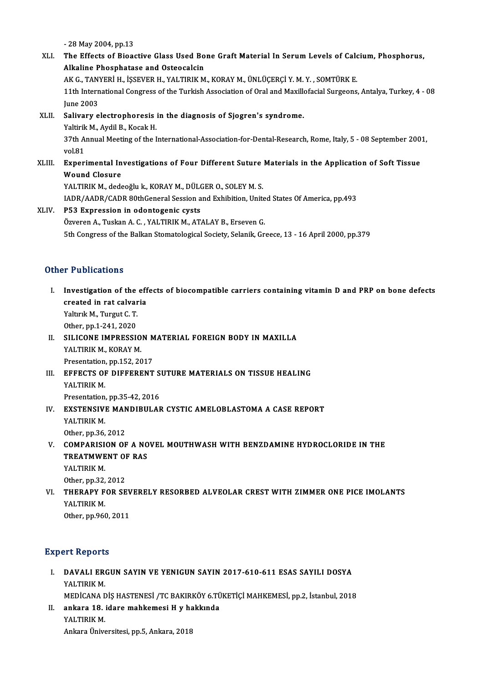-28May2004,pp.13

- 28 May 2004, pp.13<br>XLI. The Effects of Bioactive Glass Used Bone Graft Material In Serum Levels of Calcium, Phosphorus,<br>Alkaline Phosphotase and Osteosalsin - 28 May 2004, pp.13<br>The Effects of Bioactive Glass Used Bo<br>Alkaline Phosphatase and Osteocalcin<br>AK.C. TANVEDi H. ISSEVED H. VALTIPIK M The Effects of Bioactive Glass Used Bone Graft Material In Serum Levels of Calc<br>Alkaline Phosphatase and Osteocalcin<br>AK G., TANYERİ H., İŞSEVER H., YALTIRIK M., KORAY M., ÜNLÜÇERÇİ Y. M. Y. , SOMTÜRK E.<br>11th International Alkaline Phosphatase and Osteocalcin<br>AK G., TANYERİ H., İŞSEVER H., YALTIRIK M., KORAY M., ÜNLÜÇERÇİ Y. M. Y. , SOMTÜRK E.<br>11th International Congress of the Turkish Association of Oral and Maxillofacial Surgeons, Antalya, AK G., TANYERİ H., İŞSEVER H., YALTIRIK M., KORAY M., ÜNLÜÇERÇİ Y. M. Y., SOMTÜRK E. 11th International Congress of the Turkish Association of Oral and Maxilly<br>June 2003<br>XLII. Salivary electrophoresis in the diagnosis of Sjogren's syndrome.<br>Nativik M. Avdil B. Kosak H. June 2003<br><mark>Salivary electrophoresis</mark><br>Yaltirik M., Aydil B., Kocak H.<br><sup>27th</sup> Annual Mesting of the I Salivary electrophoresis in the diagnosis of Sjogren's syndrome.<br>Yaltirik M., Aydil B., Kocak H.<br>37th Annual Meeting of the International-Association-for-Dental-Research, Rome, Italy, 5 - 08 September 2001,<br>vol 91 Yaltirik<br>37th A<br>vol.81<br>Evnori 37th Annual Meeting of the International-Association-for-Dental-Research, Rome, Italy, 5 - 08 September 200<br>vol.81<br>XLIII. Experimental Investigations of Four Different Suture Materials in the Application of Soft Tissue<br>Wou vol.81<br><mark>Experimental In</mark><br>Wound Closure<br>VALTIPIK M. dode Experimental Investigations of Four Different Suture<br>Wound Closure<br>YALTIRIK M., dedeoğlu k., KORAY M., DÜLGER O., SOLEY M. S.<br>JADR (AADR (CADR 80thConoral Session and Exhibition Unit Wound Closure<br>YALTIRIK M., dedeoğlu k., KORAY M., DÜLGER O., SOLEY M. S.<br>IADR/AADR/CADR 80thGeneral Session and Exhibition, United States Of America, pp.493<br>PE3. Evnnession in odentosenis syste YALTIRIK M., dedeoğlu k., KORAY M., DÜLGER O., SOLEY M. S.<br>IADR/AADR/CADR 80thGeneral Session and Exhibition, Unite<br>XLIV. P53 Expression in odontogenic cysts<br>Özveren A., Tuskan A. C. , YALTIRIK M., ATALAY B., Erseven G.
- IADR/AADR/CADR 80thGeneral Session and Exhibition, Unite<br>P53 Expression in odontogenic cysts<br>Özveren A., Tuskan A. C. , YALTIRIK M., ATALAY B., Erseven G.<br>Eth Congress of the Ballian Stamatalogical Seciety, Selanik, Cr 5th Congress of the Balkan Stomatological Society, Selanik, Greece, 13 - 16 April 2000, pp.379

### Other Publications

- I. Investigation of the effects of biocompatible carriers containing vitamin D and PRP on bone defects r reassessions<br>Investigation of the eff<br>created in rat calvaria<br>Valuels M. Turgut C. T Investigation of the<br>created in rat calvar<br>Yaltırık M., Turgut C.T.<br>Other nn 1 241 2020 created in rat calvaria<br>Yaltırık M., Turgut C. T.<br>Other, pp.1-241, 2020 Yaltırık M., Turgut C. T.<br>Other, pp.1-241, 2020<br>II. SILICONE IMPRESSION MATERIAL FOREIGN BODY IN MAXILLA<br>VALTIPIK M. KORAY M
- YALTIRIK M., KORAY M. SILICONE IMPRESSION<br>YALTIRIK M., KORAY M.<br>Presentation, pp.152, 2017<br>FEEECTS OF DIEFERENT Presentation, pp 152, 2017
- III. EFFECTS OF DIFFERENT SUTURE MATERIALS ON TISSUE HEALING<br>YALTIRIK M. Presentation, pp.35-42, 2016
- YALTIRIK M.<br>Presentation, pp.35-42, 2016<br>IV. EXSTENSIVE MANDIBULAR CYSTIC AMELOBLASTOMA A CASE REPORT<br>VALTIBIK M Presentation<br>EXSTENSIV<br>YALTIRIK M.<br>Other.np.36 EXSTENSIVE MAN<br>YALTIRIK M.<br>Other, pp.36, 2012<br>COMBARISION OF
- YALTIRIK M.<br>Other, pp.36, 2012<br>V. COMPARISION OF A NOVEL MOUTHWASH WITH BENZDAMINE HYDROCLORIDE IN THE<br>TREATMWENT OF RAS Other, pp.36, 2012<br>COMPARISION OF A NO<br>TREATMWENT OF RAS<br>YALTIPIK M COMPARISI<br>TREATMWE<br>YALTIRIK M.<br>Other. pp. 32. TREATMWENT OF RAS<br>YALTIRIK M.<br>Other, pp.32, 2012

YALTIRIK M.<br>Other, pp.32, 2012<br>VI. THERAPY FOR SEVERELY RESORBED ALVEOLAR CREST WITH ZIMMER ONE PICE IMOLANTS<br>VALTIPIK M Other, pp.32,<br>THERAPY F<br>YALTIRIK M.<br>Other. pp.966 THERAPY FOR SEV<br>YALTIRIK M.<br>Other, pp.960, 2011

# 0ther, pp.960, 2011<br>Expert Reports

- Xpert Reports<br>I. DAVALI ERGUN SAYIN VE YENIGUN SAYIN 2017-610-611 ESAS SAYILI DOSYA<br>XALTIBIK M *A* CREPOTE<br>DAVALI ER<br>YALTIRIK M.<br>MEDICANA E YALTIRIK M.<br>MEDİCANA DİŞ HASTENESİ /TC BAKIRKÖY 6.TÜKETİÇİ MAHKEMESİ, pp.2, İstanbul, 2018 YALTIRIK M.<br>MEDİCANA DİŞ HASTENESİ /TC BAKIRKÖY 6.TÜ<br>II. ankara 18. idare mahkemesi H y hakkında<br>YALTIBIK M
- MEDİCANA <mark>E</mark><br>ankara 18.<br>YALTIRIK M.<br>Ankara Ünive YALTIRIK M.<br>Ankara Üniversitesi, pp.5, Ankara, 2018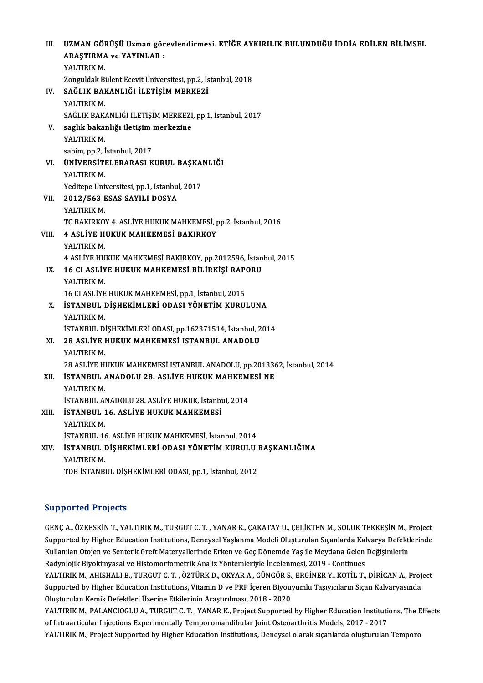| III.  | UZMAN GÖRÜŞÜ Uzman görevlendirmesi. ETİĞE AYKIRILIK BULUNDUĞU İDDİA EDİLEN BİLİMSEL |
|-------|-------------------------------------------------------------------------------------|
|       | <b>ARAȘTIRMA ve YAYINLAR :</b>                                                      |
|       | YALTIRIK M.                                                                         |
|       | Zonguldak Bülent Ecevit Üniversitesi, pp.2, İstanbul, 2018                          |
| IV.   | SAĞLIK BAKANLIĞI İLETİŞİM MERKEZİ                                                   |
|       | YALTIRIK M                                                                          |
|       | SAĞLIK BAKANLIĞI İLETİŞİM MERKEZİ, pp.1, İstanbul, 2017                             |
| V.    | saglık bakanlığı iletişim merkezine                                                 |
|       | YALTIRIK M.                                                                         |
|       | sabim, pp.2, İstanbul, 2017                                                         |
| VI.   | ÜNİVERSİTELERARASI KURUL BAŞKANLIĞI                                                 |
|       | YALTIRIK M.                                                                         |
|       | Yeditepe Üniversitesi, pp.1, İstanbul, 2017                                         |
| VII.  | 2012/563 ESAS SAYILI DOSYA                                                          |
|       | YALTIRIK M.                                                                         |
|       | TC BAKIRKOY 4. ASLİYE HUKUK MAHKEMESİ, pp.2, İstanbul, 2016                         |
| VIII. | <b>4 ASLİYE HUKUK MAHKEMESİ BAKIRKOY</b>                                            |
|       | YALTIRIK M.                                                                         |
|       | 4 ASLIYE HUKUK MAHKEMESI BAKIRKOY, pp.2012596, İstanbul, 2015                       |
| IX.   | 16 CI ASLİYE HUKUK MAHKEMESİ BİLİRKİŞİ RAPORU                                       |
|       | YALTIRIK M.                                                                         |
|       | 16 CI ASLİYE HUKUK MAHKEMESİ, pp.1, İstanbul, 2015                                  |
| Х.    | İSTANBUL DİŞHEKİMLERİ ODASI YÖNETİM KURULUNA                                        |
|       | YALTIRIK M                                                                          |
|       | İSTANBUL DİŞHEKİMLERİ ODASI, pp.162371514, İstanbul, 2014                           |
| XI.   | 28 ASLİYE HUKUK MAHKEMESİ ISTANBUL ANADOLU                                          |
|       | YALTIRIK M.                                                                         |
|       | 28 ASLİYE HUKUK MAHKEMESİ ISTANBUL ANADOLU, pp.2013362, İstanbul, 2014              |
| XII.  | İSTANBUL ANADOLU 28. ASLİYE HUKUK MAHKEMESİ NE                                      |
|       | YALTIRIK M                                                                          |
|       | İSTANBUL ANADOLU 28. ASLİYE HUKUK, İstanbul, 2014                                   |
| XIII. | <b>İSTANBUL 16. ASLİYE HUKUK MAHKEMESİ</b>                                          |
|       | YALTIRIK M.                                                                         |
|       | İSTANBUL 16. ASLİYE HUKUK MAHKEMESİ, İstanbul, 2014                                 |
| XIV.  | İSTANBUL DİŞHEKİMLERİ ODASI YÖNETİM KURULU BAŞKANLIĞINA                             |
|       | YALTIRIK M.                                                                         |
|       | TDB İSTANBUL DİŞHEKİMLERİ ODASI, pp.1, İstanbul, 2012                               |
|       |                                                                                     |

### Supported Projects

Supported Projects<br>GENÇ A., ÖZKESKİN T., YALTIRIK M., TURGUT C. T. , YANAR K., ÇAKATAY U., ÇELİKTEN M., SOLUK TEKKEŞİN M., Project<br>Supported bu Hisbor Education Institutions, Denevcel Yaslanma Madeli Olusturulan Sısanlarda Supported Frojects<br>GENÇ A., ÖZKESKİN T., YALTIRIK M., TURGUT C. T. , YANAR K., ÇAKATAY U., ÇELİKTEN M., SOLUK TEKKEŞİN M., Project<br>Supported by Higher Education Institutions, Deneysel Yaşlanma Modeli Oluşturulan Sıçanlarda GENÇ A., ÖZKESKİN T., YALTIRIK M., TURGUT C. T. , YANAR K., ÇAKATAY U., ÇELİKTEN M., SOLUK TEKKEŞİN M., I<br>Supported by Higher Education Institutions, Deneysel Yaşlanma Modeli Oluşturulan Sıçanlarda Kalvarya Defektl<br>Kullanı Supported by Higher Education Institutions, Deneysel Yaşlanma Modeli Oluşturulan Sıçanlarda Kalvarya Defektlerinde<br>Kullanılan Otojen ve Sentetik Greft Materyallerinde Erken ve Geç Dönemde Yaş ile Meydana Gelen Değişimlerin Kullanılan Otojen ve Sentetik Greft Materyallerinde Erken ve Geç Dönemde Yaş ile Meydana Gelen Değişimlerin<br>Radyolojik Biyokimyasal ve Histomorfometrik Analiz Yöntemleriyle İncelenmesi, 2019 - Continues<br>YALTIRIK M., AHISHA Radyolojik Biyokimyasal ve Histomorfometrik Analiz Yöntemleriyle İncelenmesi, 2019 - Continues<br>YALTIRIK M., AHISHALI B., TURGUT C. T. , ÖZTÜRK D., OKYAR A., GÜNGÖR S., ERGİNER Y., KOTİL T., DİRİCAN A., Proj<br>Supported by Hi YALTIRIK M., AHISHALI B., TURGUT C. T. , ÖZTÜRK D., OKYAR A., GÜNGÖR S.<br>Supported by Higher Education Institutions, Vitamin D ve PRP İçeren Biyouy<br>Oluşturulan Kemik Defektleri Üzerine Etkilerinin Araştırılması, 2018 - 2020 Supported by Higher Education Institutions, Vitamin D ve PRP İçeren Biyouyumlu Taşıyıcıların Sıçan Kalvaryasında<br>Oluşturulan Kemik Defektleri Üzerine Etkilerinin Araştırılması, 2018 - 2020<br>YALTIRIK M., PALANCIOGLU A., TURG Oluşturulan Kemik Defektleri Üzerine Etkilerinin Araştırılması, 2018 - 2020<br>YALTIRIK M., PALANCIOGLU A., TURGUT C. T. , YANAR K., Project Supported by Higher Education Institution<br>Of Intraarticular Injections Experimentall YALTIRIK M., PALANCIOGLU A., TURGUT C. T. , YANAR K., Project Supported by Higher Education Institutions, The E<br>of Intraarticular Injections Experimentally Temporomandibular Joint Osteoarthritis Models, 2017 - 2017<br>YALTIRI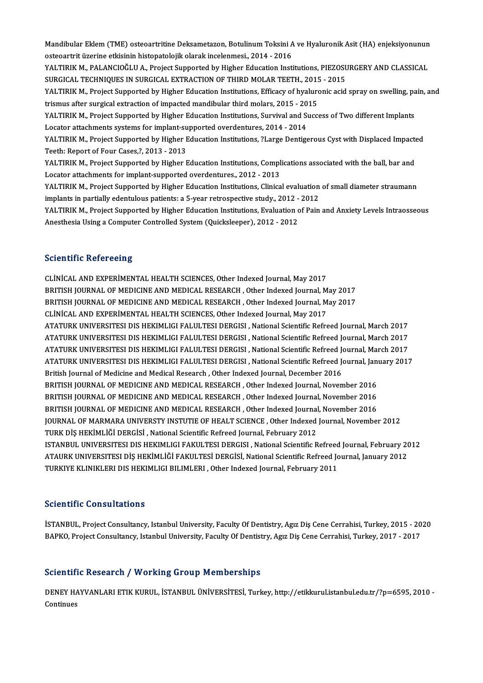Mandibular Eklem (TME) osteoartritine Deksametazon, Botulinum Toksini A ve Hyaluronik Asit (HA) enjeksiyonunun<br>Asteoartrit üzerine etkisinin bistonateleijk elerek ingelenmesi, 2014, 2016 Mandibular Eklem (TME) osteoartritine Deksametazon, Botulinum Toksini A<br>osteoartrit üzerine etkisinin histopatolojik olarak incelenmesi., 2014 - 2016<br>YALTIRIK M. PALANCIOČLILA, Prejest Supperted by Hisber Education Insti Mandibular Eklem (TME) osteoartritine Deksametazon, Botulinum Toksini A ve Hyaluronik Asit (HA) enjeksiyonunun<br>osteoartrit üzerine etkisinin histopatolojik olarak incelenmesi., 2014 - 2016<br>YALTIRIK M., PALANCIOĞLU A., Proj osteoartrit üzerine etkisinin histopatolojik olarak incelenmesi., 2014 - 2016<br>YALTIRIK M., PALANCIOĞLU A., Project Supported by Higher Education Institutions, PIEZOSURGERY AND CLASSICAL YALTIRIK M., PALANCIOĞLU A., Project Supported by Higher Education Institutions, PIEZOSURGERY AND CLASSICAL<br>SURGICAL TECHNIQUES IN SURGICAL EXTRACTION OF THIRD MOLAR TEETH., 2015 - 2015<br>YALTIRIK M., Project Supported by Hi SURGICAL TECHNIQUES IN SURGICAL EXTRACTION OF THIRD MOLAR TEETH., 2015 - 2015<br>YALTIRIK M., Project Supported by Higher Education Institutions, Efficacy of hyaluronic acid<br>trismus after surgical extraction of impacted mandi YALTIRIK M., Project Supported by Higher Education Institutions, Efficacy of hyaluronic acid spray on swelling, pa<br>trismus after surgical extraction of impacted mandibular third molars, 2015 - 2015<br>YALTIRIK M., Project Sup trismus after surgical extraction of impacted mandibular third molars, 2015 - 20<br>YALTIRIK M., Project Supported by Higher Education Institutions, Survival and Su<br>Locator attachments systems for implant-supported overdentur YALTIRIK M., Project Supported by Higher Education Institutions, Survival and Success of Two different Implants<br>Locator attachments systems for implant-supported overdentures, 2014 - 2014<br>YALTIRIK M., Project Supported by Locator attachments systems for implant-supported overdentures, 2014 - 2014<br>YALTIRIK M., Project Supported by Higher Education Institutions, ?Large Dentigerous Cyst with Displaced Impacted<br>Teeth: Report of Four Cases,?, 20 YALTIRIK M., Project Supported by Higher Education Institutions, ?Large Dentigerous Cyst with Displaced Impact<br>Teeth: Report of Four Cases,?, 2013 - 2013<br>YALTIRIK M., Project Supported by Higher Education Institutions, Com Teeth: Report of Four Cases,?, 2013 - 2013<br>YALTIRIK M., Project Supported by Higher Education Institutions, Compl<br>Locator attachments for implant-supported overdentures., 2012 - 2013<br>YALTIBLY M., Project Supported by Highe Locator attachments for implant-supported overdentures., 2012 - 2013<br>YALTIRIK M., Project Supported by Higher Education Institutions, Clinical evaluation of small diameter straumann Locator attachments for implant-supported overdentures., 2012 - 2013<br>YALTIRIK M., Project Supported by Higher Education Institutions, Clinical evaluation<br>implants in partially edentulous patients: a 5-year retrospective st YALTIRIK M., Project Supported by Higher Education Institutions, Evaluation of Pain and Anxiety Levels Intraosseous<br>Anesthesia Using a Computer Controlled System (Quicksleeper), 2012 - 2012 implants in partially edentulous patients: a 5-year retrospective study., 2012 -<br>YALTIRIK M., Project Supported by Higher Education Institutions, Evaluation c<br>Anesthesia Using a Computer Controlled System (Quicksleeper), 2

### **Scientific Refereeing**

CLİNİCAL AND EXPERİMENTAL HEALTH SCIENCES, Other Indexed Journal, May 2017 BRITISH JOURNAL OF MEDICINE AND MEDICAL RESEARCH, Other Indexed Journal, May 2017 CLINICAL AND EXPERIMENTAL HEALTH SCIENCES, Other Indexed Journal, May 2017<br>BRITISH JOURNAL OF MEDICINE AND MEDICAL RESEARCH , Other Indexed Journal, May 2017<br>BRITISH JOURNAL OF MEDICINE AND MEDICAL RESEARCH , Other Indexed BRITISH JOURNAL OF MEDICINE AND MEDICAL RESEARCH , Other Indexed Journal, M<br>BRITISH JOURNAL OF MEDICINE AND MEDICAL RESEARCH , Other Indexed Journal, M<br>CLİNİCAL AND EXPERİMENTAL HEALTH SCIENCES, Other Indexed Journal, May BRITISH JOURNAL OF MEDICINE AND MEDICAL RESEARCH , Other Indexed Journal, May 2017<br>CLINICAL AND EXPERIMENTAL HEALTH SCIENCES, Other Indexed Journal, May 2017<br>ATATURK UNIVERSITESI DIS HEKIMLIGI FALULTESI DERGISI , National CLINICAL AND EXPERIMENTAL HEALTH SCIENCES, Other Indexed Journal, May 2017<br>ATATURK UNIVERSITESI DIS HEKIMLIGI FALULTESI DERGISI , National Scientific Refreed Journal, March 2017<br>ATATURK UNIVERSITESI DIS HEKIMLIGI FALULTESI ATATURK UNIVERSITESI DIS HEKIMLIGI FALULTESI DERGISI , National Scientific Refreed Journal, March 2017<br>ATATURK UNIVERSITESI DIS HEKIMLIGI FALULTESI DERGISI , National Scientific Refreed Journal, March 2017<br>ATATURK UNIVERSI ATATURK UNIVERSITESI DIS HEKIMLIGI FALULTESI DERGISI , National Scientific Refreed Journal, March 2017<br>ATATURK UNIVERSITESI DIS HEKIMLIGI FALULTESI DERGISI , National Scientific Refreed Journal, March 2017<br>ATATURK UNIVERSI ATATURK UNIVERSITESI DIS HEKIMLIGI FALULTESI DERGISI , National Scientific Refreed J<br>ATATURK UNIVERSITESI DIS HEKIMLIGI FALULTESI DERGISI , National Scientific Refreed Jo<br>British Journal of Medicine and Medical Research , ATATURK UNIVERSITESI DIS HEKIMLIGI FALULTESI DERGISI , National Scientific Refreed Journal, January 2017<br>British Journal of Medicine and Medical Research , Other Indexed Journal, December 2016<br>BRITISH JOURNAL OF MEDICINE A British Journal of Medicine and Medical Research , Other Indexed Journal, December 2016<br>BRITISH JOURNAL OF MEDICINE AND MEDICAL RESEARCH , Other Indexed Journal, November 2016<br>BRITISH JOURNAL OF MEDICINE AND MEDICAL RESEAR BRITISH JOURNAL OF MEDICINE AND MEDICAL RESEARCH , Other Indexed Journal, November 2016<br>BRITISH JOURNAL OF MEDICINE AND MEDICAL RESEARCH , Other Indexed Journal, November 2016<br>BRITISH JOURNAL OF MEDICINE AND MEDICAL RESEAR BRITISH JOURNAL OF MEDICINE AND MEDICAL RESEARCH , Other Indexed Journal, November 2016<br>BRITISH JOURNAL OF MEDICINE AND MEDICAL RESEARCH , Other Indexed Journal, November 2016<br>JOURNAL OF MARMARA UNIVERSTY INSTUTIE OF HEALT BRITISH JOURNAL OF MEDICINE AND MEDICAL RESEARCH , Other Indexed Journal<br>JOURNAL OF MARMARA UNIVERSTY INSTUTIE OF HEALT SCIENCE , Other Indexed<br>TURK DİŞ HEKİMLİĞİ DERGİSİ , National Scientific Refreed Journal, February 201 JOURNAL OF MARMARA UNIVERSTY INSTUTIE OF HEALT SCIENCE , Other Indexed Journal, November 2012<br>TURK DİŞ HEKİMLİĞİ DERGİSİ , National Scientific Refreed Journal, February 2012<br>ISTANBUL UNIVERSITESI DIS HEKIMLIGI FAKULTESI DE TURK DİŞ HEKİMLİĞİ DERGİSİ , National Scientific Refreed Journal, February 2012<br>ISTANBUL UNIVERSITESI DIS HEKIMLIGI FAKULTESI DERGISI , National Scientific Refreed Journal, February 20<br>ATAURK UNIVERSITESI DIŞ HEKİMLİĞİ FAK ISTANBUL UNIVERSITESI DIS HEKIMLIGI FAKULTESI DERGISI , National Scientific Refreed<br>ATAURK UNIVERSITESI DİŞ HEKİMLİĞİ FAKULTESİ DERGİSİ, National Scientific Refreed Jo<br>TURKIYE KLINIKLERI DIS HEKIMLIGI BILIMLERI , Other Ind TURKIYE KLINIKLERI DIS HEKIMLIGI BILIMLERI , Other Indexed Journal, February 2011<br>Scientific Consultations

İSTANBUL, Project Consultancy, Istanbul University, Faculty Of Dentistry, Agız Diş Cene Cerrahisi, Turkey, 2015 - 2020 BAPKO, Project Consultancy, Istanbul University, Faculty Of Dentistry, Agız Diş Cene Cerrahisi, Turkey, 2017 - 2017

### Scientific Research / Working Group Memberships

Scientific Research / Working Group Memberships<br>DENEY HAYVANLARI ETIK KURUL, İSTANBUL ÜNİVERSİTESİ, Turkey, http://etikkurul.istanbul.edu.tr/?p=6595, 2010 -<br>Centinues DENEY HA<br>DENEY HA<br>Continues